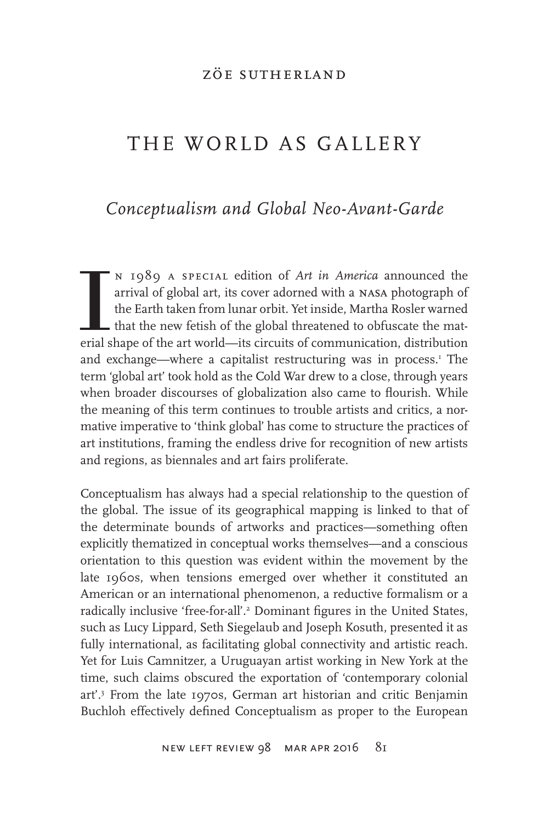#### zöe sutherland

# THE WORLD AS GALLERY

# *Conceptualism and Global Neo-Avant-Garde*

N 1989 A SPECIAL edition of *Art in America* announced the arrival of global art, its cover adorned with a NASA photograph of the Earth taken from lunar orbit. Yet inside, Martha Rosler warned that the new fetish of the gl n 1989 a special edition of *Art in America* announced the arrival of global art, its cover adorned with a nasa photograph of the Earth taken from lunar orbit. Yet inside, Martha Rosler warned that the new fetish of the global threatened to obfuscate the matand exchange—where a capitalist restructuring was in process.<sup>1</sup> The term 'global art' took hold as the Cold War drew to a close, through years when broader discourses of globalization also came to flourish. While the meaning of this term continues to trouble artists and critics, a normative imperative to 'think global' has come to structure the practices of art institutions, framing the endless drive for recognition of new artists and regions, as biennales and art fairs proliferate.

Conceptualism has always had a special relationship to the question of the global. The issue of its geographical mapping is linked to that of the determinate bounds of artworks and practices—something often explicitly thematized in conceptual works themselves—and a conscious orientation to this question was evident within the movement by the late 1960s, when tensions emerged over whether it constituted an American or an international phenomenon, a reductive formalism or a radically inclusive 'free-for-all'.<sup>2</sup> Dominant figures in the United States, such as Lucy Lippard, Seth Siegelaub and Joseph Kosuth, presented it as fully international, as facilitating global connectivity and artistic reach. Yet for Luis Camnitzer, a Uruguayan artist working in New York at the time, such claims obscured the exportation of 'contemporary colonial art'.3 From the late 1970s, German art historian and critic Benjamin Buchloh effectively defined Conceptualism as proper to the European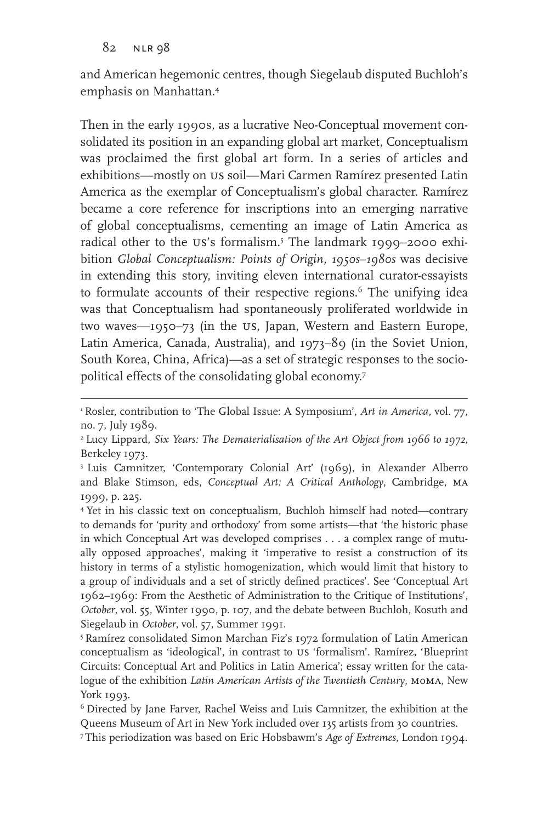and American hegemonic centres, though Siegelaub disputed Buchloh's emphasis on Manhattan.4

Then in the early 1990s, as a lucrative Neo-Conceptual movement consolidated its position in an expanding global art market, Conceptualism was proclaimed the first global art form. In a series of articles and exhibitions—mostly on us soil—Mari Carmen Ramírez presented Latin America as the exemplar of Conceptualism's global character. Ramírez became a core reference for inscriptions into an emerging narrative of global conceptualisms, cementing an image of Latin America as radical other to the us's formalism.5 The landmark 1999–2000 exhibition *Global Conceptualism: Points of Origin, 1950s*–*1980s* was decisive in extending this story, inviting eleven international curator-essayists to formulate accounts of their respective regions.<sup>6</sup> The unifying idea was that Conceptualism had spontaneously proliferated worldwide in two waves—1950–73 (in the us, Japan, Western and Eastern Europe, Latin America, Canada, Australia), and 1973–89 (in the Soviet Union, South Korea, China, Africa)—as a set of strategic responses to the sociopolitical effects of the consolidating global economy.7

<sup>&</sup>lt;sup>1</sup> Rosler, contribution to 'The Global Issue: A Symposium', Art in America, vol. 77, no. 7, July 1989.

<sup>2</sup> Lucy Lippard, *Six Years: The Dematerialisation of the Art Object from 1966 to 1972,*  Berkeley 1973.

<sup>3</sup> Luis Camnitzer, 'Contemporary Colonial Art' (1969), in Alexander Alberro and Blake Stimson, eds, *Conceptual Art: A Critical Anthology*, Cambridge, ma 1999, p. 225.

<sup>4</sup> Yet in his classic text on conceptualism, Buchloh himself had noted—contrary to demands for 'purity and orthodoxy' from some artists—that 'the historic phase in which Conceptual Art was developed comprises . . . a complex range of mutually opposed approaches', making it 'imperative to resist a construction of its history in terms of a stylistic homogenization, which would limit that history to a group of individuals and a set of strictly defined practices'. See 'Conceptual Art 1962–1969: From the Aesthetic of Administration to the Critique of Institutions', *October*, vol. 55, Winter 1990, p. 107, and the debate between Buchloh, Kosuth and Siegelaub in October, vol. 57, Summer 1991.

<sup>5</sup> Ramírez consolidated Simon Marchan Fiz's 1972 formulation of Latin American conceptualism as 'ideological', in contrast to us 'formalism'. Ramírez, 'Blueprint Circuits: Conceptual Art and Politics in Latin America'; essay written for the catalogue of the exhibition *Latin American Artists of the Twentieth Century*, moma, New York 1993.

<sup>6</sup> Directed by Jane Farver, Rachel Weiss and Luis Camnitzer, the exhibition at the Queens Museum of Art in New York included over 135 artists from 30 countries.

<sup>7</sup> This periodization was based on Eric Hobsbawm's *Age of Extremes*, London 1994.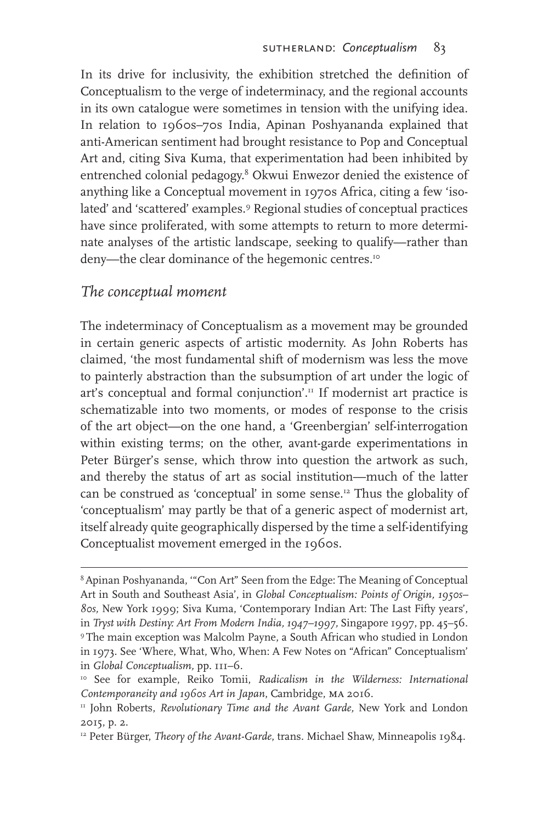In its drive for inclusivity, the exhibition stretched the definition of Conceptualism to the verge of indeterminacy, and the regional accounts in its own catalogue were sometimes in tension with the unifying idea. In relation to 1960s–70s India, Apinan Poshyananda explained that anti-American sentiment had brought resistance to Pop and Conceptual Art and, citing Siva Kuma, that experimentation had been inhibited by entrenched colonial pedagogy.<sup>8</sup> Okwui Enwezor denied the existence of anything like a Conceptual movement in 1970s Africa, citing a few 'isolated' and 'scattered' examples.<sup>9</sup> Regional studies of conceptual practices have since proliferated, with some attempts to return to more determinate analyses of the artistic landscape, seeking to qualify—rather than deny—the clear dominance of the hegemonic centres.<sup>10</sup>

#### *The conceptual moment*

The indeterminacy of Conceptualism as a movement may be grounded in certain generic aspects of artistic modernity. As John Roberts has claimed, 'the most fundamental shift of modernism was less the move to painterly abstraction than the subsumption of art under the logic of art's conceptual and formal conjunction'.<sup>11</sup> If modernist art practice is schematizable into two moments, or modes of response to the crisis of the art object—on the one hand, a 'Greenbergian' self-interrogation within existing terms; on the other, avant-garde experimentations in Peter Bürger's sense, which throw into question the artwork as such, and thereby the status of art as social institution—much of the latter can be construed as 'conceptual' in some sense.12 Thus the globality of 'conceptualism' may partly be that of a generic aspect of modernist art, itself already quite geographically dispersed by the time a self-identifying Conceptualist movement emerged in the 1960s.

<sup>8</sup> Apinan Poshyananda, '"Con Art" Seen from the Edge: The Meaning of Conceptual Art in South and Southeast Asia', in *Global Conceptualism: Points of Origin, 1950s– 80s,* New York 1999; Siva Kuma, 'Contemporary Indian Art: The Last Fifty years', in *Tryst with Destiny: Art From Modern India, 1947–1997,* Singapore 1997, pp. 45–56. 9 The main exception was Malcolm Payne, a South African who studied in London in 1973. See 'Where, What, Who, When: A Few Notes on "African" Conceptualism' in *Global Conceptualism,* pp. 111–6.

<sup>10</sup> See for example, Reiko Tomii, *Radicalism in the Wilderness: International Contemporaneity and 1960s Art in Japan*, Cambridge, ma 2016.

<sup>&</sup>lt;sup>11</sup> John Roberts, *Revolutionary Time and the Avant Garde*, New York and London 2015, p. 2.

<sup>&</sup>lt;sup>12</sup> Peter Bürger, *Theory of the Avant-Garde*, trans. Michael Shaw, Minneapolis 1984.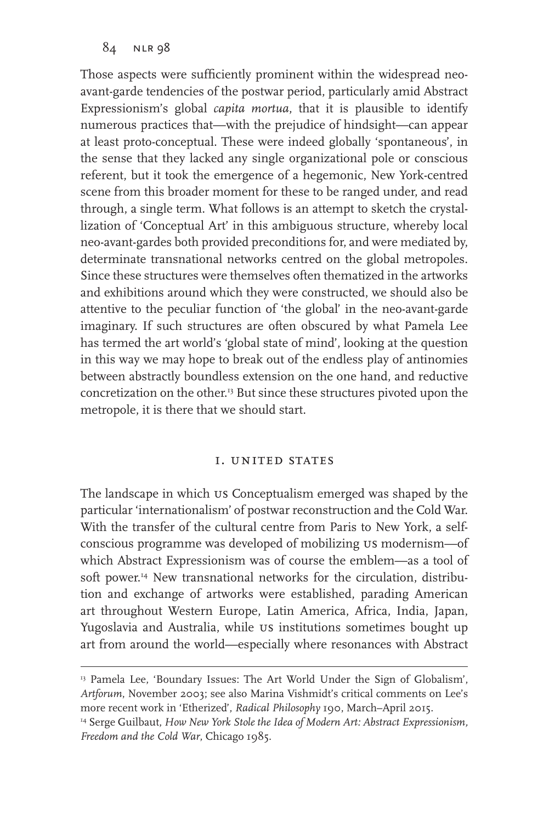Those aspects were sufficiently prominent within the widespread neoavant-garde tendencies of the postwar period, particularly amid Abstract Expressionism's global *capita mortua*, that it is plausible to identify numerous practices that—with the prejudice of hindsight—can appear at least proto-conceptual. These were indeed globally 'spontaneous', in the sense that they lacked any single organizational pole or conscious referent, but it took the emergence of a hegemonic, New York-centred scene from this broader moment for these to be ranged under, and read through, a single term. What follows is an attempt to sketch the crystallization of 'Conceptual Art' in this ambiguous structure, whereby local neo-avant-gardes both provided preconditions for, and were mediated by, determinate transnational networks centred on the global metropoles. Since these structures were themselves often thematized in the artworks and exhibitions around which they were constructed, we should also be attentive to the peculiar function of 'the global' in the neo-avant-garde imaginary. If such structures are often obscured by what Pamela Lee has termed the art world's 'global state of mind', looking at the question in this way we may hope to break out of the endless play of antinomies between abstractly boundless extension on the one hand, and reductive concretization on the other.<sup>13</sup> But since these structures pivoted upon the metropole, it is there that we should start.

#### i. united states

The landscape in which us Conceptualism emerged was shaped by the particular 'internationalism' of postwar reconstruction and the Cold War. With the transfer of the cultural centre from Paris to New York, a selfconscious programme was developed of mobilizing us modernism—of which Abstract Expressionism was of course the emblem—as a tool of soft power.<sup>14</sup> New transnational networks for the circulation, distribution and exchange of artworks were established, parading American art throughout Western Europe, Latin America, Africa, India, Japan, Yugoslavia and Australia, while us institutions sometimes bought up art from around the world—especially where resonances with Abstract

<sup>&</sup>lt;sup>13</sup> Pamela Lee, 'Boundary Issues: The Art World Under the Sign of Globalism', *Artforum*, November 2003; see also Marina Vishmidt's critical comments on Lee's more recent work in 'Etherized', *Radical Philosophy* 190, March–April 2015. <sup>14</sup> Serge Guilbaut, *How New York Stole the Idea of Modern Art: Abstract Expressionism, Freedom and the Cold War*, Chicago 1985.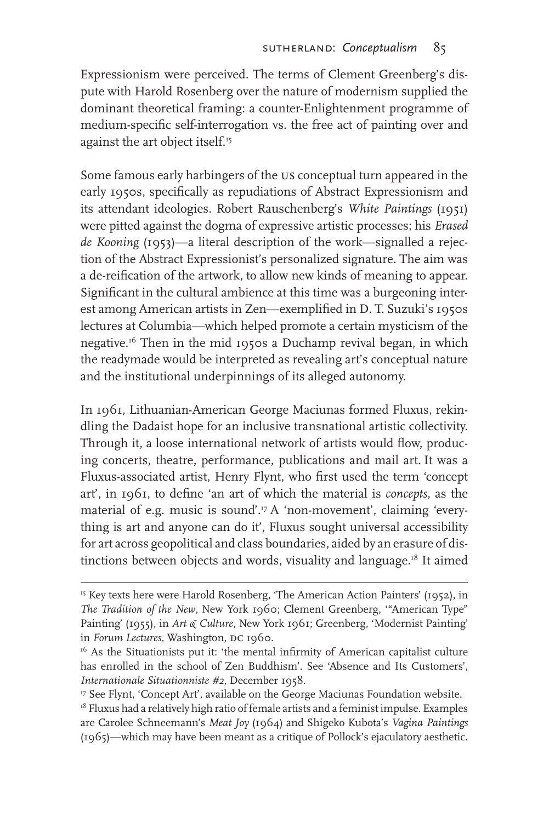Expressionism were perceived. The terms of Clement Greenberg's dispute with Harold Rosenberg over the nature of modernism supplied the dominant theoretical framing: a counter-Enlightenment programme of medium-specific self-interrogation vs. the free act of painting over and against the art object itself.<sup>15</sup>

Some famous early harbingers of the us conceptual turn appeared in the early 1950s, specifically as repudiations of Abstract Expressionism and its attendant ideologies. Robert Rauschenberg's *White Paintings* (1951) were pitted against the dogma of expressive artistic processes; his *Erased de Kooning* (1953)—a literal description of the work—signalled a rejection of the Abstract Expressionist's personalized signature. The aim was a de-reification of the artwork, to allow new kinds of meaning to appear. Significant in the cultural ambience at this time was a burgeoning interest among American artists in Zen—exemplified in D. T. Suzuki's 1950s lectures at Columbia—which helped promote a certain mysticism of the negative.16 Then in the mid 1950s a Duchamp revival began, in which the readymade would be interpreted as revealing art's conceptual nature and the institutional underpinnings of its alleged autonomy.

In 1961, Lithuanian-American George Maciunas formed Fluxus, rekindling the Dadaist hope for an inclusive transnational artistic collectivity. Through it, a loose international network of artists would flow, producing concerts, theatre, performance, publications and mail art. It was a Fluxus-associated artist, Henry Flynt, who first used the term 'concept art', in 1961, to define 'an art of which the material is *concepts*, as the material of e.g. music is sound'.<sup>17</sup> A 'non-movement', claiming 'everything is art and anyone can do it', Fluxus sought universal accessibility for art across geopolitical and class boundaries, aided by an erasure of distinctions between objects and words, visuality and language.<sup>18</sup> It aimed

<sup>&</sup>lt;sup>15</sup> Key texts here were Harold Rosenberg, 'The American Action Painters' (1952), in *The Tradition of the New*, New York 1960; Clement Greenberg, '"American Type" Painting' (1955), in *Art & Culture*, New York 1961; Greenberg, 'Modernist Painting' in *Forum Lectures*, Washington, DC 1960.

<sup>&</sup>lt;sup>16</sup> As the Situationists put it: 'the mental infirmity of American capitalist culture has enrolled in the school of Zen Buddhism'. See 'Absence and Its Customers', *Internationale Situationniste #2*, December 1958.

<sup>&</sup>lt;sup>17</sup> See Flynt, 'Concept Art', available on the George Maciunas Foundation website.

<sup>&</sup>lt;sup>18</sup> Fluxus had a relatively high ratio of female artists and a feminist impulse. Examples are Carolee Schneemann's *Meat Joy* (1964) and Shigeko Kubota's *Vagina Paintings*  (1965)—which may have been meant as a critique of Pollock's ejaculatory aesthetic.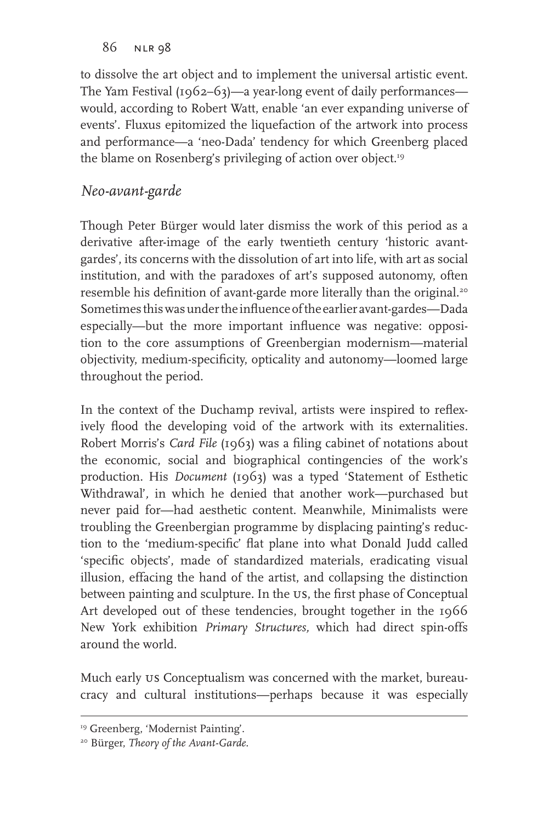to dissolve the art object and to implement the universal artistic event. The Yam Festival (1962–63)—a year-long event of daily performances would, according to Robert Watt, enable 'an ever expanding universe of events'. Fluxus epitomized the liquefaction of the artwork into process and performance—a 'neo-Dada' tendency for which Greenberg placed the blame on Rosenberg's privileging of action over object.<sup>19</sup>

## *Neo-avant-garde*

Though Peter Bürger would later dismiss the work of this period as a derivative after-image of the early twentieth century 'historic avantgardes', its concerns with the dissolution of art into life, with art as social institution, and with the paradoxes of art's supposed autonomy, often resemble his definition of avant-garde more literally than the original.<sup>20</sup> Sometimes this was under the influence of the earlier avant-gardes—Dada especially—but the more important influence was negative: opposition to the core assumptions of Greenbergian modernism—material objectivity, medium-specificity, opticality and autonomy—loomed large throughout the period.

In the context of the Duchamp revival, artists were inspired to reflexively flood the developing void of the artwork with its externalities. Robert Morris's *Card File* (1963) was a filing cabinet of notations about the economic, social and biographical contingencies of the work's production. His *Document* (1963) was a typed 'Statement of Esthetic Withdrawal'*,* in which he denied that another work—purchased but never paid for—had aesthetic content. Meanwhile, Minimalists were troubling the Greenbergian programme by displacing painting's reduction to the 'medium-specific' flat plane into what Donald Judd called 'specific objects', made of standardized materials, eradicating visual illusion, effacing the hand of the artist, and collapsing the distinction between painting and sculpture. In the US, the first phase of Conceptual Art developed out of these tendencies, brought together in the 1966 New York exhibition *Primary Structures,* which had direct spin-offs around the world.

Much early us Conceptualism was concerned with the market, bureaucracy and cultural institutions—perhaps because it was especially

<sup>&</sup>lt;sup>19</sup> Greenberg, 'Modernist Painting'.

<sup>20</sup> Bürger, *Theory of the Avant-Garde*.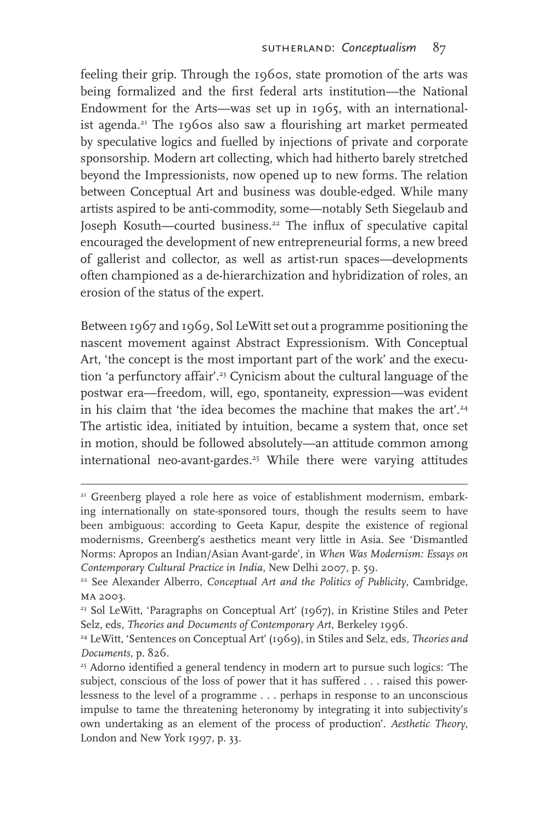feeling their grip. Through the 1960s, state promotion of the arts was being formalized and the first federal arts institution—the National Endowment for the Arts—was set up in 1965, with an internationalist agenda.<sup>21</sup> The 1960s also saw a flourishing art market permeated by speculative logics and fuelled by injections of private and corporate sponsorship. Modern art collecting, which had hitherto barely stretched beyond the Impressionists, now opened up to new forms. The relation between Conceptual Art and business was double-edged. While many artists aspired to be anti-commodity, some—notably Seth Siegelaub and Joseph Kosuth—courted business.22 The influx of speculative capital encouraged the development of new entrepreneurial forms, a new breed of gallerist and collector, as well as artist-run spaces—developments often championed as a de-hierarchization and hybridization of roles, an erosion of the status of the expert.

Between 1967 and 1969, Sol LeWitt set out a programme positioning the nascent movement against Abstract Expressionism. With Conceptual Art, 'the concept is the most important part of the work' and the execution 'a perfunctory affair'.<sup>23</sup> Cynicism about the cultural language of the postwar era—freedom, will, ego, spontaneity, expression—was evident in his claim that 'the idea becomes the machine that makes the art'.<sup>24</sup> The artistic idea, initiated by intuition, became a system that, once set in motion, should be followed absolutely—an attitude common among international neo-avant-gardes.<sup>25</sup> While there were varying attitudes

<sup>&</sup>lt;sup>21</sup> Greenberg played a role here as voice of establishment modernism, embarking internationally on state-sponsored tours, though the results seem to have been ambiguous: according to Geeta Kapur, despite the existence of regional modernisms, Greenberg's aesthetics meant very little in Asia. See 'Dismantled Norms: Apropos an Indian/Asian Avant-garde', in *When Was Modernism: Essays on Contemporary Cultural Practice in India*, New Delhi 2007, p. 59.

<sup>22</sup> See Alexander Alberro, *Conceptual Art and the Politics of Publicity*, Cambridge, MA 2003.

<sup>23</sup> Sol LeWitt, 'Paragraphs on Conceptual Art' (1967), in Kristine Stiles and Peter Selz, eds, *Theories and Documents of Contemporary Art*, Berkeley 1996.

<sup>24</sup> LeWitt, 'Sentences on Conceptual Art' (1969), in Stiles and Selz, eds, *Theories and Documents,* p. 826.

<sup>&</sup>lt;sup>25</sup> Adorno identified a general tendency in modern art to pursue such logics: 'The subject, conscious of the loss of power that it has suffered . . . raised this powerlessness to the level of a programme . . . perhaps in response to an unconscious impulse to tame the threatening heteronomy by integrating it into subjectivity's own undertaking as an element of the process of production'. *Aesthetic Theory*, London and New York 1997, p. 33.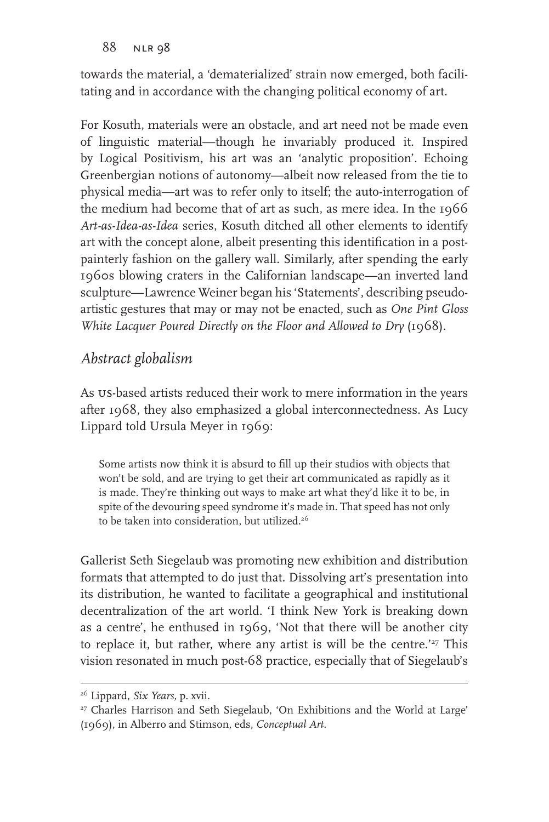towards the material, a 'dematerialized' strain now emerged, both facilitating and in accordance with the changing political economy of art.

For Kosuth, materials were an obstacle, and art need not be made even of linguistic material—though he invariably produced it. Inspired by Logical Positivism, his art was an 'analytic proposition'. Echoing Greenbergian notions of autonomy—albeit now released from the tie to physical media—art was to refer only to itself; the auto-interrogation of the medium had become that of art as such, as mere idea. In the 1966 *Art-as-Idea-as-Idea* series, Kosuth ditched all other elements to identify art with the concept alone, albeit presenting this identification in a postpainterly fashion on the gallery wall. Similarly, after spending the early 1960s blowing craters in the Californian landscape—an inverted land sculpture—Lawrence Weiner began his 'Statements', describing pseudoartistic gestures that may or may not be enacted, such as *One Pint Gloss White Lacquer Poured Directly on the Floor and Allowed to Dry* (1968).

## *Abstract globalism*

As us-based artists reduced their work to mere information in the years after 1968, they also emphasized a global interconnectedness. As Lucy Lippard told Ursula Meyer in 1969:

Some artists now think it is absurd to fill up their studios with objects that won't be sold, and are trying to get their art communicated as rapidly as it is made. They're thinking out ways to make art what they'd like it to be, in spite of the devouring speed syndrome it's made in. That speed has not only to be taken into consideration, but utilized.<sup>26</sup>

Gallerist Seth Siegelaub was promoting new exhibition and distribution formats that attempted to do just that. Dissolving art's presentation into its distribution, he wanted to facilitate a geographical and institutional decentralization of the art world. 'I think New York is breaking down as a centre', he enthused in 1969, 'Not that there will be another city to replace it, but rather, where any artist is will be the centre.'<sup>27</sup> This vision resonated in much post-68 practice, especially that of Siegelaub's

<sup>26</sup> Lippard, *Six Years,* p. xvii.

<sup>&</sup>lt;sup>27</sup> Charles Harrison and Seth Siegelaub, 'On Exhibitions and the World at Large' (1969), in Alberro and Stimson, eds, *Conceptual Art*.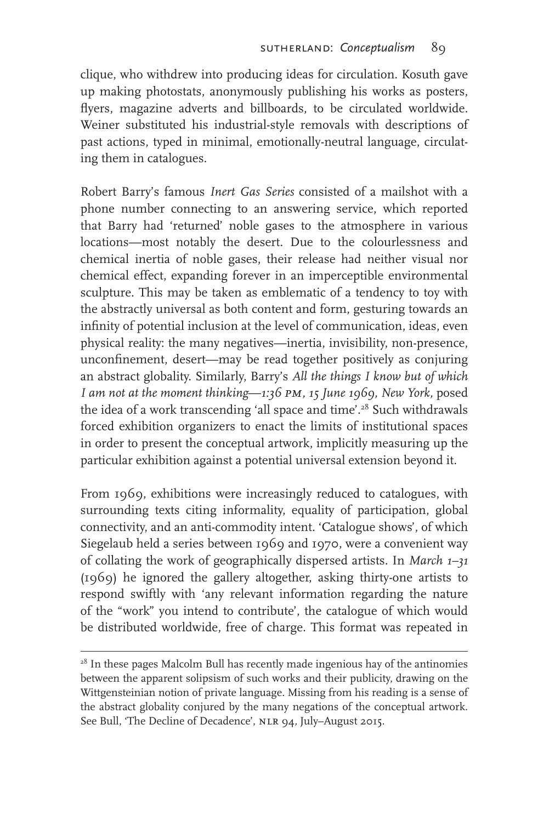clique, who withdrew into producing ideas for circulation. Kosuth gave up making photostats, anonymously publishing his works as posters, flyers, magazine adverts and billboards, to be circulated worldwide. Weiner substituted his industrial-style removals with descriptions of past actions, typed in minimal, emotionally-neutral language, circulating them in catalogues.

Robert Barry's famous *Inert Gas Series* consisted of a mailshot with a phone number connecting to an answering service, which reported that Barry had 'returned' noble gases to the atmosphere in various locations—most notably the desert. Due to the colourlessness and chemical inertia of noble gases, their release had neither visual nor chemical effect, expanding forever in an imperceptible environmental sculpture. This may be taken as emblematic of a tendency to toy with the abstractly universal as both content and form, gesturing towards an infinity of potential inclusion at the level of communication, ideas, even physical reality: the many negatives—inertia, invisibility, non-presence, unconfinement, desert—may be read together positively as conjuring an abstract globality. Similarly, Barry's *All the things I know but of which I am not at the moment thinking*—*1:36 pm, 15 June 1969, New York,* posed the idea of a work transcending 'all space and time'.<sup>28</sup> Such withdrawals forced exhibition organizers to enact the limits of institutional spaces in order to present the conceptual artwork, implicitly measuring up the particular exhibition against a potential universal extension beyond it.

From 1969, exhibitions were increasingly reduced to catalogues, with surrounding texts citing informality, equality of participation, global connectivity, and an anti-commodity intent. 'Catalogue shows', of which Siegelaub held a series between 1969 and 1970, were a convenient way of collating the work of geographically dispersed artists. In *March 1–31*  (1969) he ignored the gallery altogether, asking thirty-one artists to respond swiftly with 'any relevant information regarding the nature of the "work" you intend to contribute', the catalogue of which would be distributed worldwide, free of charge. This format was repeated in

 $28$  In these pages Malcolm Bull has recently made ingenious hay of the antinomies between the apparent solipsism of such works and their publicity, drawing on the Wittgensteinian notion of private language. Missing from his reading is a sense of the abstract globality conjured by the many negations of the conceptual artwork. See Bull, 'The Decline of Decadence', nlr 94*,* July–August 2015.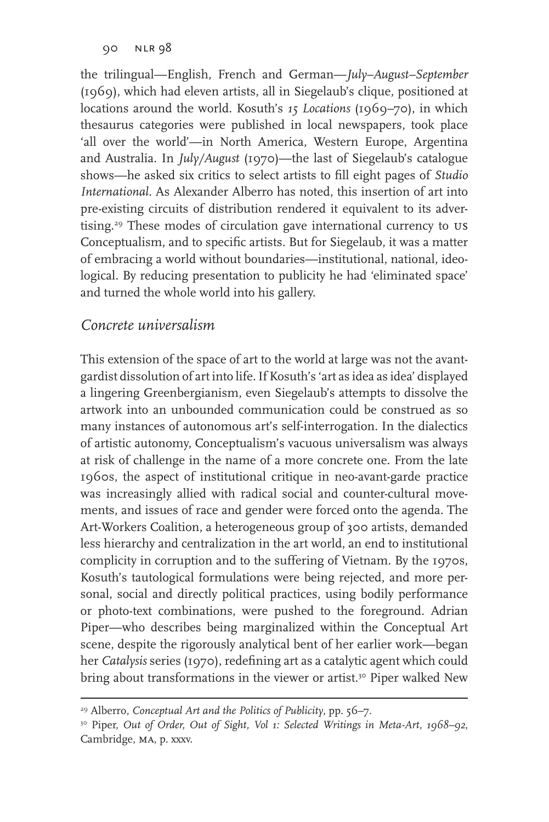the trilingual—English, French and German—*July–August–September*  (1969), which had eleven artists, all in Siegelaub's clique, positioned at locations around the world. Kosuth's *15 Locations* (1969–70), in which thesaurus categories were published in local newspapers, took place 'all over the world'—in North America, Western Europe, Argentina and Australia. In *July/August* (1970)—the last of Siegelaub's catalogue shows—he asked six critics to select artists to fill eight pages of *Studio International.* As Alexander Alberro has noted, this insertion of art into pre-existing circuits of distribution rendered it equivalent to its advertising.<sup>29</sup> These modes of circulation gave international currency to US Conceptualism, and to specific artists. But for Siegelaub, it was a matter of embracing a world without boundaries—institutional, national, ideological. By reducing presentation to publicity he had 'eliminated space' and turned the whole world into his gallery.

### *Concrete universalism*

This extension of the space of art to the world at large was not the avantgardist dissolution of art into life. If Kosuth's 'art as idea as idea' displayed a lingering Greenbergianism, even Siegelaub's attempts to dissolve the artwork into an unbounded communication could be construed as so many instances of autonomous art's self-interrogation. In the dialectics of artistic autonomy, Conceptualism's vacuous universalism was always at risk of challenge in the name of a more concrete one. From the late 1960s, the aspect of institutional critique in neo-avant-garde practice was increasingly allied with radical social and counter-cultural movements, and issues of race and gender were forced onto the agenda. The Art-Workers Coalition, a heterogeneous group of 300 artists, demanded less hierarchy and centralization in the art world, an end to institutional complicity in corruption and to the suffering of Vietnam. By the 1970s, Kosuth's tautological formulations were being rejected, and more personal, social and directly political practices, using bodily performance or photo-text combinations, were pushed to the foreground. Adrian Piper—who describes being marginalized within the Conceptual Art scene, despite the rigorously analytical bent of her earlier work—began her *Catalysis* series (1970), redefining art as a catalytic agent which could bring about transformations in the viewer or artist.<sup>30</sup> Piper walked New

<sup>29</sup> Alberro, *Conceptual Art and the Politics of Publicity*, pp. 56–7.

<sup>30</sup> Piper, *Out of Order, Out of Sight, Vol 1: Selected Writings in Meta-Art, 1968–92*, Cambridge, ma, p. xxxv.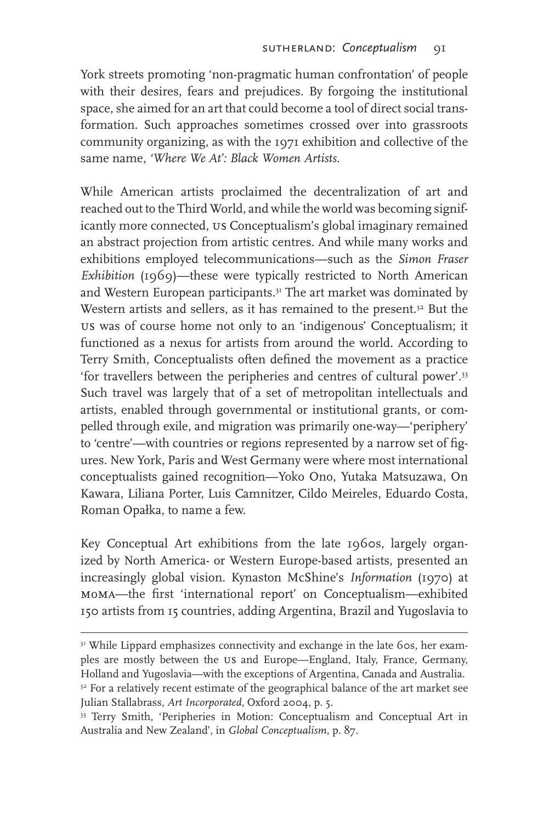York streets promoting 'non-pragmatic human confrontation' of people with their desires, fears and prejudices. By forgoing the institutional space, she aimed for an art that could become a tool of direct social transformation. Such approaches sometimes crossed over into grassroots community organizing, as with the 1971 exhibition and collective of the same name, *'Where We At': Black Women Artists*.

While American artists proclaimed the decentralization of art and reached out to the Third World, and while the world was becoming significantly more connected, us Conceptualism's global imaginary remained an abstract projection from artistic centres. And while many works and exhibitions employed telecommunications—such as the *Simon Fraser Exhibition* (1969)—these were typically restricted to North American and Western European participants.<sup>31</sup> The art market was dominated by Western artists and sellers, as it has remained to the present.<sup>32</sup> But the us was of course home not only to an 'indigenous' Conceptualism; it functioned as a nexus for artists from around the world. According to Terry Smith, Conceptualists often defined the movement as a practice 'for travellers between the peripheries and centres of cultural power'.33 Such travel was largely that of a set of metropolitan intellectuals and artists, enabled through governmental or institutional grants, or compelled through exile, and migration was primarily one-way—'periphery' to 'centre'—with countries or regions represented by a narrow set of figures. New York, Paris and West Germany were where most international conceptualists gained recognition—Yoko Ono, Yutaka Matsuzawa, On Kawara, Liliana Porter, Luis Camnitzer, Cildo Meireles, Eduardo Costa, Roman Opałka, to name a few.

Key Conceptual Art exhibitions from the late 1960s, largely organized by North America- or Western Europe-based artists, presented an increasingly global vision. Kynaston McShine's *Information* (1970) at moma—the first 'international report' on Conceptualism—exhibited 150 artists from 15 countries, adding Argentina, Brazil and Yugoslavia to

<sup>&</sup>lt;sup>31</sup> While Lippard emphasizes connectivity and exchange in the late 60s, her examples are mostly between the us and Europe—England, Italy, France, Germany, Holland and Yugoslavia—with the exceptions of Argentina, Canada and Australia. <sup>32</sup> For a relatively recent estimate of the geographical balance of the art market see Julian Stallabrass, *Art Incorporated*, Oxford 2004, p. 5.

<sup>&</sup>lt;sup>33</sup> Terry Smith, 'Peripheries in Motion: Conceptualism and Conceptual Art in Australia and New Zealand', in *Global Conceptualism*, p. 87.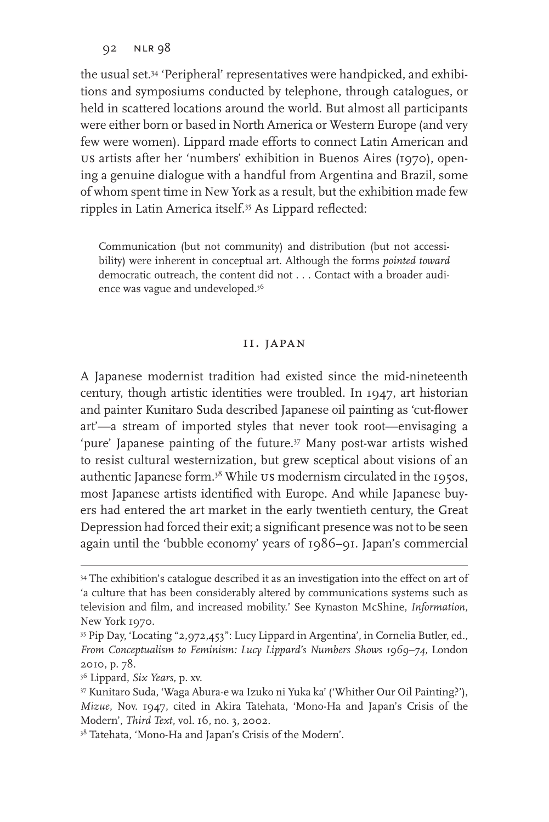the usual set.34 'Peripheral' representatives were handpicked, and exhibitions and symposiums conducted by telephone, through catalogues, or held in scattered locations around the world. But almost all participants were either born or based in North America or Western Europe (and very few were women). Lippard made efforts to connect Latin American and us artists after her 'numbers' exhibition in Buenos Aires (1970), opening a genuine dialogue with a handful from Argentina and Brazil, some of whom spent time in New York as a result, but the exhibition made few ripples in Latin America itself.35 As Lippard reflected:

Communication (but not community) and distribution (but not accessibility) were inherent in conceptual art. Although the forms *pointed toward*  democratic outreach, the content did not . . . Contact with a broader audience was vague and undeveloped.36

#### ii. japan

A Japanese modernist tradition had existed since the mid-nineteenth century, though artistic identities were troubled. In 1947, art historian and painter Kunitaro Suda described Japanese oil painting as 'cut-flower art'—a stream of imported styles that never took root—envisaging a 'pure' Japanese painting of the future.<sup>37</sup> Many post-war artists wished to resist cultural westernization, but grew sceptical about visions of an authentic Japanese form.38 While us modernism circulated in the 1950s, most Japanese artists identified with Europe. And while Japanese buyers had entered the art market in the early twentieth century, the Great Depression had forced their exit; a significant presence was not to be seen again until the 'bubble economy' years of 1986–91. Japan's commercial

<sup>34</sup> The exhibition's catalogue described it as an investigation into the effect on art of 'a culture that has been considerably altered by communications systems such as television and film, and increased mobility.' See Kynaston McShine, *Information,*  New York 1970.

<sup>35</sup> Pip Day, 'Locating "2,972,453": Lucy Lippard in Argentina', in Cornelia Butler, ed., *From Conceptualism to Feminism: Lucy Lippard's Numbers Shows 1969–74,* London 2010, p. 78.

<sup>36</sup> Lippard, *Six Years,* p. xv.

<sup>37</sup> Kunitaro Suda, 'Waga Abura-e wa Izuko ni Yuka ka' ('Whither Our Oil Painting?'), *Mizue*, Nov. 1947, cited in Akira Tatehata, 'Mono-Ha and Japan's Crisis of the Modern', *Third Text*, vol. 16, no. 3, 2002.

<sup>&</sup>lt;sup>38</sup> Tatehata, 'Mono-Ha and Japan's Crisis of the Modern'.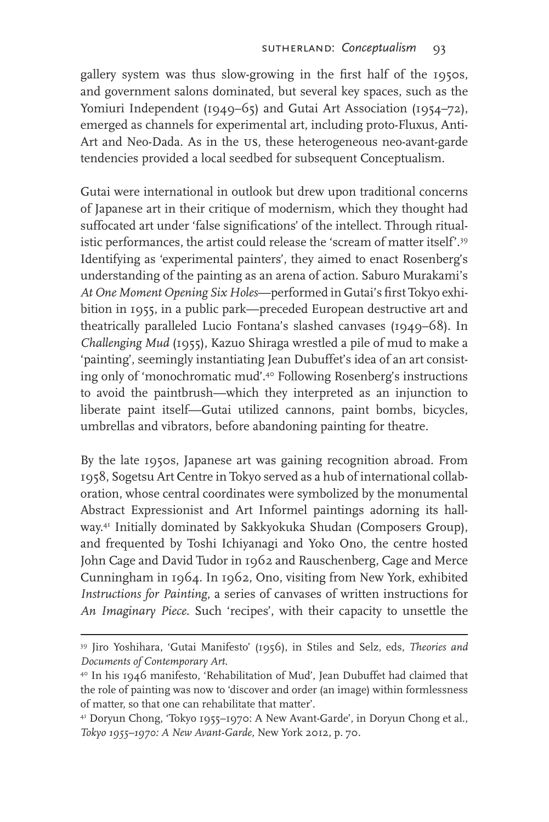gallery system was thus slow-growing in the first half of the 1950s, and government salons dominated, but several key spaces, such as the Yomiuri Independent (1949–65) and Gutai Art Association (1954–72), emerged as channels for experimental art, including proto-Fluxus, Anti-Art and Neo-Dada. As in the us, these heterogeneous neo-avant-garde tendencies provided a local seedbed for subsequent Conceptualism.

Gutai were international in outlook but drew upon traditional concerns of Japanese art in their critique of modernism, which they thought had suffocated art under 'false significations' of the intellect. Through ritualistic performances, the artist could release the 'scream of matter itself'.<sup>39</sup> Identifying as 'experimental painters', they aimed to enact Rosenberg's understanding of the painting as an arena of action. Saburo Murakami's *At One Moment Opening Six Holes*—performed in Gutai's first Tokyo exhibition in 1955, in a public park—preceded European destructive art and theatrically paralleled Lucio Fontana's slashed canvases (1949–68). In *Challenging Mud* (1955), Kazuo Shiraga wrestled a pile of mud to make a 'painting', seemingly instantiating Jean Dubuffet's idea of an art consisting only of 'monochromatic mud'.40 Following Rosenberg's instructions to avoid the paintbrush—which they interpreted as an injunction to liberate paint itself—Gutai utilized cannons, paint bombs, bicycles, umbrellas and vibrators, before abandoning painting for theatre.

By the late 1950s, Japanese art was gaining recognition abroad. From 1958, Sogetsu Art Centre in Tokyo served as a hub of international collaboration, whose central coordinates were symbolized by the monumental Abstract Expressionist and Art Informel paintings adorning its hallway.41 Initially dominated by Sakkyokuka Shudan (Composers Group), and frequented by Toshi Ichiyanagi and Yoko Ono, the centre hosted John Cage and David Tudor in 1962 and Rauschenberg, Cage and Merce Cunningham in 1964. In 1962, Ono, visiting from New York, exhibited *Instructions for Painting*, a series of canvases of written instructions for *An Imaginary Piece*. Such 'recipes', with their capacity to unsettle the

<sup>39</sup> Jiro Yoshihara, 'Gutai Manifesto' (1956), in Stiles and Selz, eds, *Theories and Documents of Contemporary Art*.

<sup>40</sup> In his 1946 manifesto, 'Rehabilitation of Mud', Jean Dubuffet had claimed that the role of painting was now to 'discover and order (an image) within formlessness of matter, so that one can rehabilitate that matter'.

<sup>41</sup> Doryun Chong, 'Tokyo 1955–1970: A New Avant-Garde', in Doryun Chong et al., *Tokyo 1955–1970: A New Avant-Garde,* New York 2012, p. 70.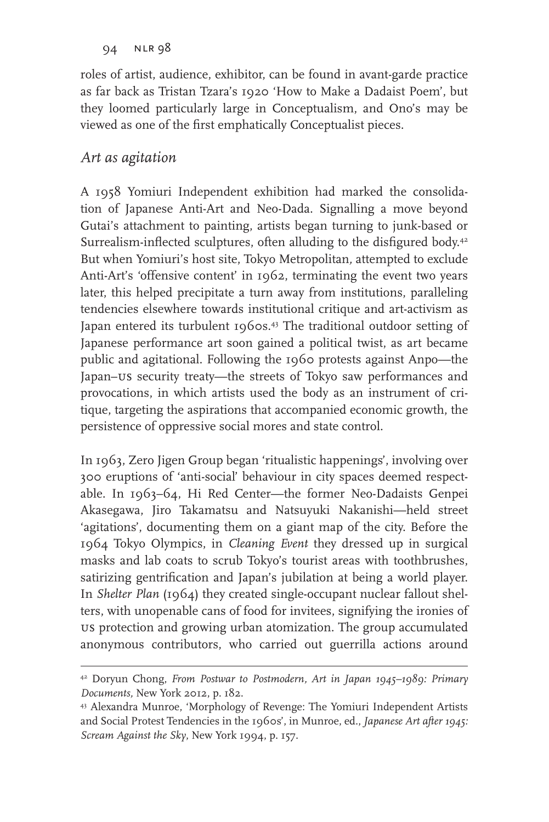roles of artist, audience, exhibitor, can be found in avant-garde practice as far back as Tristan Tzara's 1920 'How to Make a Dadaist Poem', but they loomed particularly large in Conceptualism, and Ono's may be viewed as one of the first emphatically Conceptualist pieces.

# *Art as agitation*

A 1958 Yomiuri Independent exhibition had marked the consolidation of Japanese Anti-Art and Neo-Dada. Signalling a move beyond Gutai's attachment to painting, artists began turning to junk-based or Surrealism-inflected sculptures, often alluding to the disfigured body.<sup>42</sup> But when Yomiuri's host site, Tokyo Metropolitan*,* attempted to exclude Anti-Art's 'offensive content' in 1962, terminating the event two years later, this helped precipitate a turn away from institutions, paralleling tendencies elsewhere towards institutional critique and art-activism as Japan entered its turbulent 1960s.<sup>43</sup> The traditional outdoor setting of Japanese performance art soon gained a political twist, as art became public and agitational. Following the 1960 protests against Anpo—the Japan–us security treaty—the streets of Tokyo saw performances and provocations, in which artists used the body as an instrument of critique, targeting the aspirations that accompanied economic growth, the persistence of oppressive social mores and state control.

In 1963, Zero Jigen Group began 'ritualistic happenings', involving over 300 eruptions of 'anti-social' behaviour in city spaces deemed respectable. In 1963–64, Hi Red Center—the former Neo-Dadaists Genpei Akasegawa, Jiro Takamatsu and Natsuyuki Nakanishi—held street 'agitations', documenting them on a giant map of the city. Before the 1964 Tokyo Olympics, in *Cleaning Event* they dressed up in surgical masks and lab coats to scrub Tokyo's tourist areas with toothbrushes, satirizing gentrification and Japan's jubilation at being a world player. In *Shelter Plan* (1964) they created single-occupant nuclear fallout shelters, with unopenable cans of food for invitees, signifying the ironies of us protection and growing urban atomization. The group accumulated anonymous contributors, who carried out guerrilla actions around

<sup>42</sup> Doryun Chong, *From Postwar to Postmodern, Art in Japan 1945–1989: Primary Documents,* New York 2012, p. 182.

<sup>43</sup> Alexandra Munroe, 'Morphology of Revenge: The Yomiuri Independent Artists and Social Protest Tendencies in the 1960s', in Munroe, ed., *Japanese Art after 1945: Scream Against the Sky*, New York 1994, p. 157.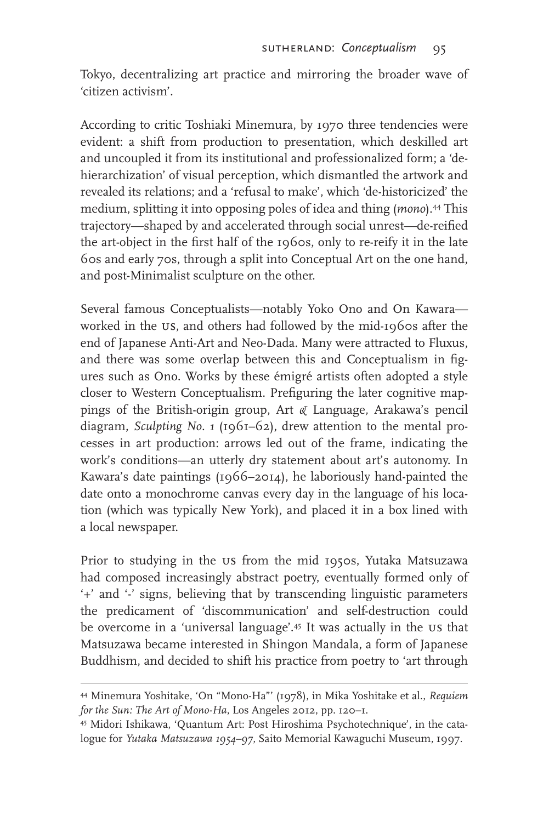Tokyo, decentralizing art practice and mirroring the broader wave of 'citizen activism'.

According to critic Toshiaki Minemura, by 1970 three tendencies were evident: a shift from production to presentation, which deskilled art and uncoupled it from its institutional and professionalized form; a 'dehierarchization' of visual perception, which dismantled the artwork and revealed its relations; and a 'refusal to make', which 'de-historicized' the medium, splitting it into opposing poles of idea and thing (*mono*).44 This trajectory—shaped by and accelerated through social unrest—de-reified the art-object in the first half of the 1960s, only to re-reify it in the late 60s and early 70s, through a split into Conceptual Art on the one hand, and post-Minimalist sculpture on the other.

Several famous Conceptualists—notably Yoko Ono and On Kawara worked in the us, and others had followed by the mid-1960s after the end of Japanese Anti-Art and Neo-Dada. Many were attracted to Fluxus, and there was some overlap between this and Conceptualism in figures such as Ono. Works by these émigré artists often adopted a style closer to Western Conceptualism. Prefiguring the later cognitive mappings of the British-origin group, Art *&* Language*,* Arakawa's pencil diagram, *Sculpting No. 1* (1961–62), drew attention to the mental processes in art production: arrows led out of the frame, indicating the work's conditions—an utterly dry statement about art's autonomy. In Kawara's date paintings (1966–2014), he laboriously hand-painted the date onto a monochrome canvas every day in the language of his location (which was typically New York), and placed it in a box lined with a local newspaper.

Prior to studying in the us from the mid 1950s, Yutaka Matsuzawa had composed increasingly abstract poetry, eventually formed only of '+' and '-' signs, believing that by transcending linguistic parameters the predicament of 'discommunication' and self-destruction could be overcome in a 'universal language'.45 It was actually in the us that Matsuzawa became interested in Shingon Mandala, a form of Japanese Buddhism, and decided to shift his practice from poetry to 'art through

<sup>44</sup> Minemura Yoshitake, 'On "Mono-Ha"' (1978), in Mika Yoshitake et al., *Requiem for the Sun: The Art of Mono-Ha*, Los Angeles 2012, pp. 120–1.

<sup>45</sup> Midori Ishikawa, 'Quantum Art: Post Hiroshima Psychotechnique', in the catalogue for *Yutaka Matsuzawa 1954–97*, Saito Memorial Kawaguchi Museum, 1997.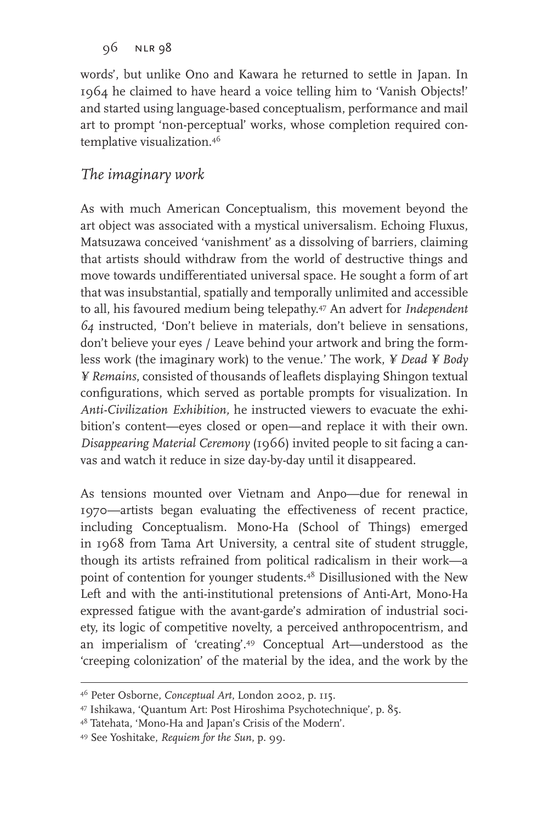words', but unlike Ono and Kawara he returned to settle in Japan. In 1964 he claimed to have heard a voice telling him to 'Vanish Objects!' and started using language-based conceptualism, performance and mail art to prompt 'non-perceptual' works, whose completion required contemplative visualization.46

# *The imaginary work*

As with much American Conceptualism, this movement beyond the art object was associated with a mystical universalism. Echoing Fluxus, Matsuzawa conceived 'vanishment' as a dissolving of barriers, claiming that artists should withdraw from the world of destructive things and move towards undifferentiated universal space. He sought a form of art that was insubstantial, spatially and temporally unlimited and accessible to all, his favoured medium being telepathy.47 An advert for *Independent 64* instructed, 'Don't believe in materials, don't believe in sensations, don't believe your eyes / Leave behind your artwork and bring the formless work (the imaginary work) to the venue.' The work, *¥ Dead ¥ Body ¥ Remains*, consisted of thousands of leaflets displaying Shingon textual configurations, which served as portable prompts for visualization. In *Anti-Civilization Exhibition,* he instructed viewers to evacuate the exhibition's content—eyes closed or open—and replace it with their own. *Disappearing Material Ceremony* (1966) invited people to sit facing a canvas and watch it reduce in size day-by-day until it disappeared.

As tensions mounted over Vietnam and Anpo—due for renewal in 1970—artists began evaluating the effectiveness of recent practice, including Conceptualism. Mono-Ha (School of Things) emerged in 1968 from Tama Art University, a central site of student struggle, though its artists refrained from political radicalism in their work—a point of contention for younger students.48 Disillusioned with the New Left and with the anti-institutional pretensions of Anti-Art, Mono-Ha expressed fatigue with the avant-garde's admiration of industrial society, its logic of competitive novelty, a perceived anthropocentrism, and an imperialism of 'creating'.49 Conceptual Art—understood as the 'creeping colonization' of the material by the idea, and the work by the

48 Tatehata, 'Mono-Ha and Japan's Crisis of the Modern'.

<sup>46</sup> Peter Osborne, *Conceptual Art*, London 2002, p. 115.

<sup>47</sup> Ishikawa, 'Quantum Art: Post Hiroshima Psychotechnique', p. 85.

<sup>49</sup> See Yoshitake, *Requiem for the Sun*, p. 99.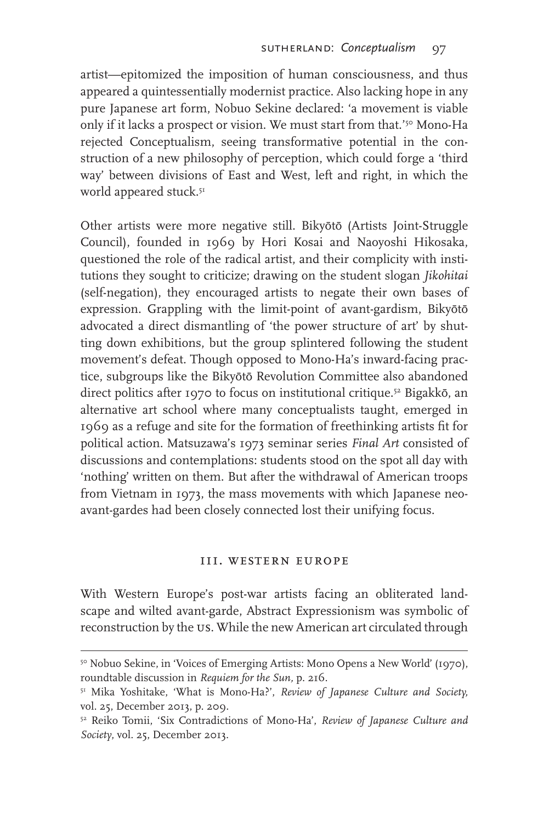artist—epitomized the imposition of human consciousness, and thus appeared a quintessentially modernist practice. Also lacking hope in any pure Japanese art form, Nobuo Sekine declared: 'a movement is viable only if it lacks a prospect or vision. We must start from that.'<sup>50</sup> Mono-Ha rejected Conceptualism, seeing transformative potential in the construction of a new philosophy of perception, which could forge a 'third way' between divisions of East and West, left and right, in which the world appeared stuck.<sup>51</sup>

Other artists were more negative still. Bikyōtō (Artists Joint-Struggle Council), founded in 1969 by Hori Kosai and Naoyoshi Hikosaka, questioned the role of the radical artist, and their complicity with institutions they sought to criticize; drawing on the student slogan *Jikohitai*  (self-negation), they encouraged artists to negate their own bases of expression. Grappling with the limit-point of avant-gardism, Bikyōtō advocated a direct dismantling of 'the power structure of art' by shutting down exhibitions, but the group splintered following the student movement's defeat. Though opposed to Mono-Ha's inward-facing practice, subgroups like the Bikyōtō Revolution Committee also abandoned direct politics after 1970 to focus on institutional critique.<sup>52</sup> Bigakkō, an alternative art school where many conceptualists taught, emerged in 1969 as a refuge and site for the formation of freethinking artists fit for political action. Matsuzawa's 1973 seminar series *Final Art* consisted of discussions and contemplations: students stood on the spot all day with 'nothing' written on them. But after the withdrawal of American troops from Vietnam in 1973, the mass movements with which Japanese neoavant-gardes had been closely connected lost their unifying focus.

#### iii. western europe

With Western Europe's post-war artists facing an obliterated landscape and wilted avant-garde, Abstract Expressionism was symbolic of reconstruction by the us. While the new American art circulated through

<sup>&</sup>lt;sup>50</sup> Nobuo Sekine, in 'Voices of Emerging Artists: Mono Opens a New World' (1970), roundtable discussion in *Requiem for the Sun,* p. 216.

<sup>51</sup> Mika Yoshitake, 'What is Mono-Ha?', *Review of Japanese Culture and Society,*  vol. 25, December 2013, p. 209.

<sup>52</sup> Reiko Tomii, 'Six Contradictions of Mono-Ha', *Review of Japanese Culture and Society*, vol. 25, December 2013.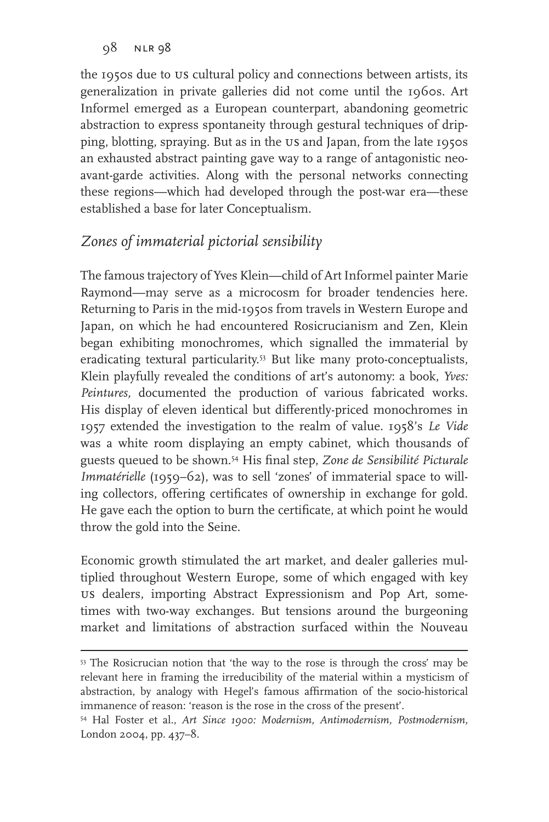the 1950s due to us cultural policy and connections between artists, its generalization in private galleries did not come until the 1960s. Art Informel emerged as a European counterpart, abandoning geometric abstraction to express spontaneity through gestural techniques of dripping, blotting, spraying. But as in the us and Japan, from the late 1950s an exhausted abstract painting gave way to a range of antagonistic neoavant-garde activities. Along with the personal networks connecting these regions—which had developed through the post-war era—these established a base for later Conceptualism.

# *Zones of immaterial pictorial sensibility*

The famous trajectory of Yves Klein—child of Art Informel painter Marie Raymond—may serve as a microcosm for broader tendencies here. Returning to Paris in the mid-1950s from travels in Western Europe and Japan, on which he had encountered Rosicrucianism and Zen, Klein began exhibiting monochromes, which signalled the immaterial by eradicating textural particularity.<sup>53</sup> But like many proto-conceptualists, Klein playfully revealed the conditions of art's autonomy: a book, *Yves: Peintures,* documented the production of various fabricated works. His display of eleven identical but differently-priced monochromes in 1957 extended the investigation to the realm of value. 1958's *Le Vide* was a white room displaying an empty cabinet, which thousands of guests queued to be shown.54 His final step, *Zone de Sensibilité Picturale Immatérielle* (1959–62), was to sell 'zones' of immaterial space to willing collectors, offering certificates of ownership in exchange for gold. He gave each the option to burn the certificate, at which point he would throw the gold into the Seine.

Economic growth stimulated the art market, and dealer galleries multiplied throughout Western Europe, some of which engaged with key us dealers, importing Abstract Expressionism and Pop Art, sometimes with two-way exchanges. But tensions around the burgeoning market and limitations of abstraction surfaced within the Nouveau

<sup>53</sup> The Rosicrucian notion that 'the way to the rose is through the cross' may be relevant here in framing the irreducibility of the material within a mysticism of abstraction, by analogy with Hegel's famous affirmation of the socio-historical immanence of reason: 'reason is the rose in the cross of the present'.

<sup>54</sup> Hal Foster et al., *Art Since 1900: Modernism, Antimodernism, Postmodernism,*  London 2004, pp. 437–8.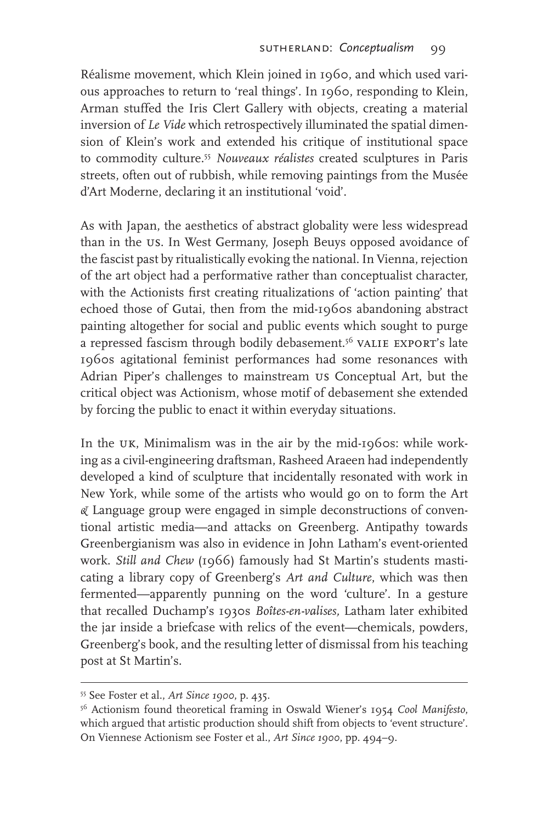Réalisme movement, which Klein joined in 1960, and which used various approaches to return to 'real things'. In 1960, responding to Klein, Arman stuffed the Iris Clert Gallery with objects, creating a material inversion of *Le Vide* which retrospectively illuminated the spatial dimension of Klein's work and extended his critique of institutional space to commodity culture.55 *Nouveaux réalistes* created sculptures in Paris streets, often out of rubbish, while removing paintings from the Musée d'Art Moderne, declaring it an institutional 'void'.

As with Japan, the aesthetics of abstract globality were less widespread than in the us. In West Germany, Joseph Beuys opposed avoidance of the fascist past by ritualistically evoking the national. In Vienna, rejection of the art object had a performative rather than conceptualist character, with the Actionists first creating ritualizations of 'action painting' that echoed those of Gutai, then from the mid-1960s abandoning abstract painting altogether for social and public events which sought to purge a repressed fascism through bodily debasement.<sup>56</sup> VALIE EXPORT's late 1960s agitational feminist performances had some resonances with Adrian Piper's challenges to mainstream us Conceptual Art, but the critical object was Actionism, whose motif of debasement she extended by forcing the public to enact it within everyday situations.

In the UK, Minimalism was in the air by the mid-1960s: while working as a civil-engineering draftsman, Rasheed Araeen had independently developed a kind of sculpture that incidentally resonated with work in New York, while some of the artists who would go on to form the Art *&* Language group were engaged in simple deconstructions of conventional artistic media—and attacks on Greenberg. Antipathy towards Greenbergianism was also in evidence in John Latham's event-oriented work. *Still and Chew* (1966) famously had St Martin's students masticating a library copy of Greenberg's *Art and Culture*, which was then fermented—apparently punning on the word 'culture'. In a gesture that recalled Duchamp's 1930s *Boîtes-en-valises,* Latham later exhibited the jar inside a briefcase with relics of the event—chemicals, powders, Greenberg's book, and the resulting letter of dismissal from his teaching post at St Martin's.

<sup>55</sup> See Foster et al., *Art Since 1900*, p. 435.

<sup>56</sup> Actionism found theoretical framing in Oswald Wiener's 1954 *Cool Manifesto*, which argued that artistic production should shift from objects to 'event structure'. On Viennese Actionism see Foster et al., *Art Since 1900*, pp. 494–9.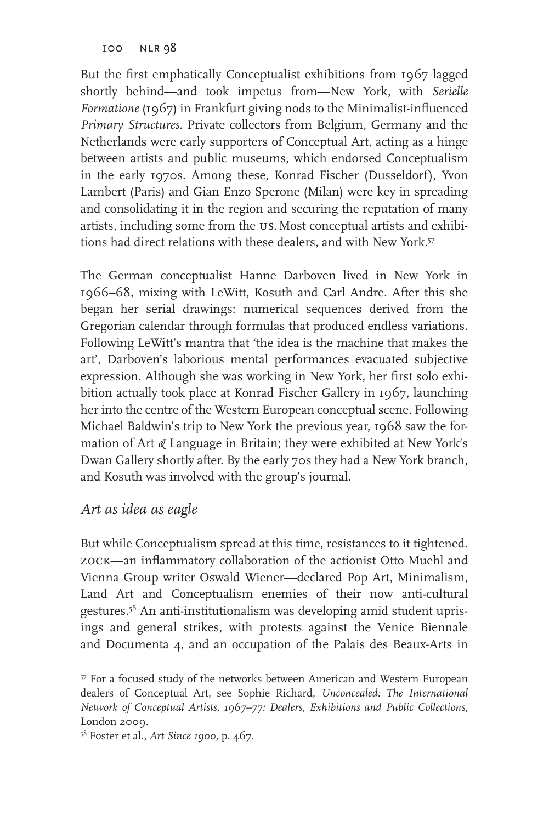But the first emphatically Conceptualist exhibitions from 1967 lagged shortly behind—and took impetus from—New York, with *Serielle Formatione* (1967) in Frankfurt giving nods to the Minimalist-influenced *Primary Structures*. Private collectors from Belgium, Germany and the Netherlands were early supporters of Conceptual Art, acting as a hinge between artists and public museums, which endorsed Conceptualism in the early 1970s. Among these, Konrad Fischer (Dusseldorf), Yvon Lambert (Paris) and Gian Enzo Sperone (Milan) were key in spreading and consolidating it in the region and securing the reputation of many artists, including some from the us. Most conceptual artists and exhibitions had direct relations with these dealers, and with New York.<sup>57</sup>

The German conceptualist Hanne Darboven lived in New York in 1966–68, mixing with LeWitt, Kosuth and Carl Andre. After this she began her serial drawings: numerical sequences derived from the Gregorian calendar through formulas that produced endless variations. Following LeWitt's mantra that 'the idea is the machine that makes the art', Darboven's laborious mental performances evacuated subjective expression. Although she was working in New York, her first solo exhibition actually took place at Konrad Fischer Gallery in 1967, launching her into the centre of the Western European conceptual scene. Following Michael Baldwin's trip to New York the previous year, 1968 saw the formation of Art *&* Language in Britain; they were exhibited at New York's Dwan Gallery shortly after. By the early 70s they had a New York branch, and Kosuth was involved with the group's journal.

### *Art as idea as eagle*

But while Conceptualism spread at this time, resistances to it tightened. zock—an inflammatory collaboration of the actionist Otto Muehl and Vienna Group writer Oswald Wiener—declared Pop Art, Minimalism, Land Art and Conceptualism enemies of their now anti-cultural gestures.58 An anti-institutionalism was developing amid student uprisings and general strikes, with protests against the Venice Biennale and Documenta 4, and an occupation of the Palais des Beaux-Arts in

<sup>57</sup> For a focused study of the networks between American and Western European dealers of Conceptual Art, see Sophie Richard, *Unconcealed: The International Network of Conceptual Artists, 1967–77: Dealers, Exhibitions and Public Collections*, London 2009.

<sup>58</sup> Foster et al., *Art Since 1900,* p. 467.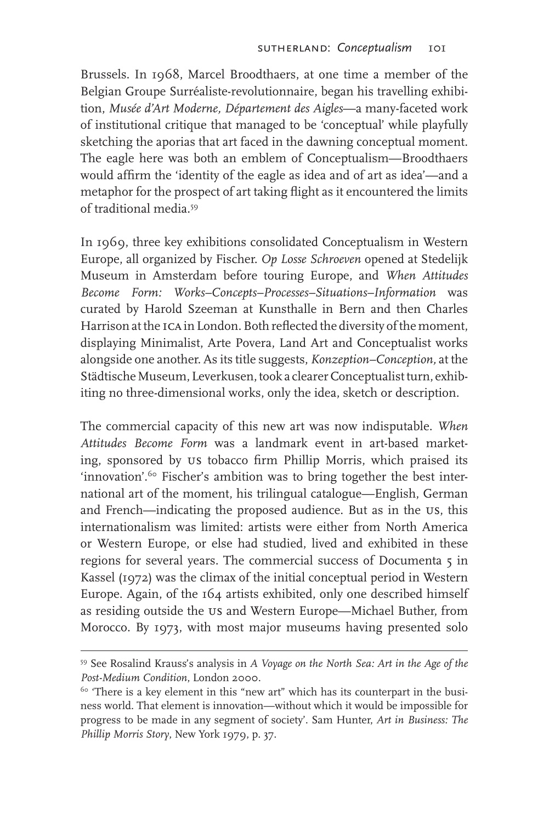Brussels. In 1968, Marcel Broodthaers, at one time a member of the Belgian Groupe Surréaliste-revolutionnaire, began his travelling exhibition, *Musée d'Art Moderne, Département des Aigles*—a many-faceted work of institutional critique that managed to be 'conceptual' while playfully sketching the aporias that art faced in the dawning conceptual moment. The eagle here was both an emblem of Conceptualism—Broodthaers would affirm the 'identity of the eagle as idea and of art as idea'—and a metaphor for the prospect of art taking flight as it encountered the limits of traditional media.59

In 1969, three key exhibitions consolidated Conceptualism in Western Europe, all organized by Fischer. *Op Losse Schroeven* opened at Stedelijk Museum in Amsterdam before touring Europe, and *When Attitudes Become Form: Works–Concepts–Processes–Situations–Information* was curated by Harold Szeeman at Kunsthalle in Bern and then Charles Harrison at the ica in London. Both reflected the diversity of the moment, displaying Minimalist, Arte Povera, Land Art and Conceptualist works alongside one another. As its title suggests, *Konzeption–Conception,* at the Städtische Museum, Leverkusen, took a clearer Conceptualist turn, exhibiting no three-dimensional works, only the idea, sketch or description.

The commercial capacity of this new art was now indisputable. *When Attitudes Become Form* was a landmark event in art-based marketing, sponsored by us tobacco firm Phillip Morris, which praised its 'innovation'.60 Fischer's ambition was to bring together the best international art of the moment, his trilingual catalogue—English, German and French—indicating the proposed audience. But as in the us, this internationalism was limited: artists were either from North America or Western Europe, or else had studied, lived and exhibited in these regions for several years. The commercial success of Documenta 5 in Kassel (1972) was the climax of the initial conceptual period in Western Europe. Again, of the 164 artists exhibited, only one described himself as residing outside the us and Western Europe—Michael Buther, from Morocco. By 1973, with most major museums having presented solo

<sup>59</sup> See Rosalind Krauss's analysis in *A Voyage on the North Sea: Art in the Age of the Post-Medium Condition*, London 2000.

 $60$  'There is a key element in this "new art" which has its counterpart in the business world. That element is innovation—without which it would be impossible for progress to be made in any segment of society'. Sam Hunter, *Art in Business: The Phillip Morris Story*, New York 1979, p. 37.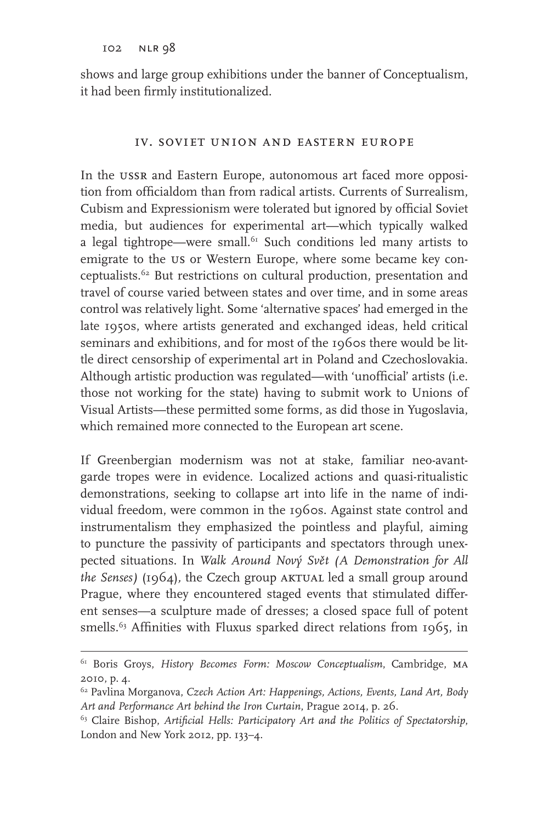shows and large group exhibitions under the banner of Conceptualism, it had been firmly institutionalized.

#### iv. soviet union and eastern europe

In the ussr and Eastern Europe, autonomous art faced more opposition from officialdom than from radical artists. Currents of Surrealism, Cubism and Expressionism were tolerated but ignored by official Soviet media, but audiences for experimental art—which typically walked a legal tightrope—were small.<sup>61</sup> Such conditions led many artists to emigrate to the us or Western Europe, where some became key conceptualists.62 But restrictions on cultural production, presentation and travel of course varied between states and over time, and in some areas control was relatively light. Some 'alternative spaces' had emerged in the late 1950s, where artists generated and exchanged ideas, held critical seminars and exhibitions, and for most of the 1960s there would be little direct censorship of experimental art in Poland and Czechoslovakia. Although artistic production was regulated—with 'unofficial' artists (i.e. those not working for the state) having to submit work to Unions of Visual Artists—these permitted some forms, as did those in Yugoslavia, which remained more connected to the European art scene.

If Greenbergian modernism was not at stake, familiar neo-avantgarde tropes were in evidence. Localized actions and quasi-ritualistic demonstrations, seeking to collapse art into life in the name of individual freedom, were common in the 1960s. Against state control and instrumentalism they emphasized the pointless and playful, aiming to puncture the passivity of participants and spectators through unexpected situations. In *Walk Around Nový Svět (A Demonstration for All the Senses*) (1964), the Czech group AKTUAL led a small group around Prague, where they encountered staged events that stimulated different senses—a sculpture made of dresses; a closed space full of potent smells.<sup>63</sup> Affinities with Fluxus sparked direct relations from 1965, in

<sup>61</sup> Boris Groys, *History Becomes Form: Moscow Conceptualism*, Cambridge, ma 2010, p. 4.

<sup>62</sup> Pavlina Morganova, *Czech Action Art: Happenings, Actions, Events, Land Art, Body Art and Performance Art behind the Iron Curtain*, Prague 2014, p. 26.

<sup>63</sup> Claire Bishop, *Artificial Hells: Participatory Art and the Politics of Spectatorship*, London and New York 2012, pp. 133–4.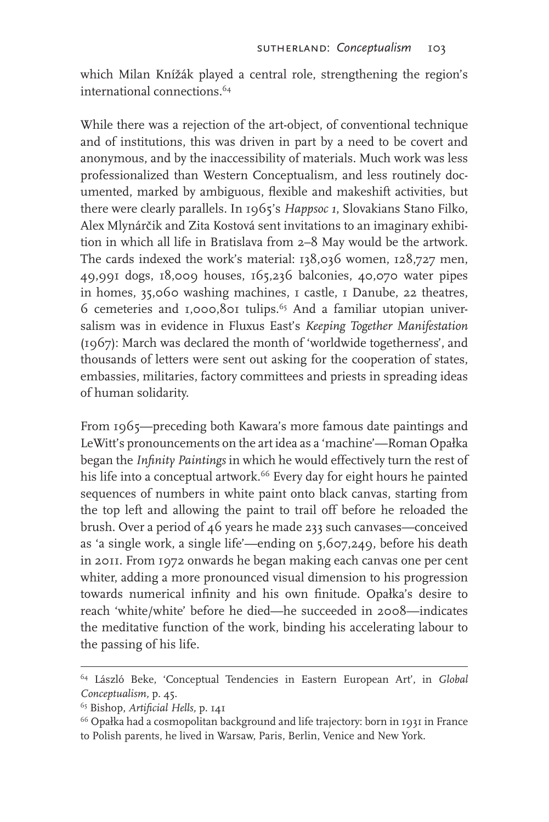which Milan Knížák played a central role, strengthening the region's international connections <sup>64</sup>

While there was a rejection of the art-object, of conventional technique and of institutions, this was driven in part by a need to be covert and anonymous, and by the inaccessibility of materials. Much work was less professionalized than Western Conceptualism, and less routinely documented, marked by ambiguous, flexible and makeshift activities, but there were clearly parallels. In 1965's *Happsoc 1*, Slovakians Stano Filko, Alex Mlynárčik and Zita Kostová sent invitations to an imaginary exhibition in which all life in Bratislava from 2–8 May would be the artwork. The cards indexed the work's material: 138,036 women, 128,727 men, 49,991 dogs, 18,009 houses, 165,236 balconies, 40,070 water pipes in homes, 35,060 washing machines, 1 castle, 1 Danube, 22 theatres,  $6$  cemeteries and 1,000,801 tulips.<sup>65</sup> And a familiar utopian universalism was in evidence in Fluxus East's *Keeping Together Manifestation*  (1967): March was declared the month of 'worldwide togetherness', and thousands of letters were sent out asking for the cooperation of states, embassies, militaries, factory committees and priests in spreading ideas of human solidarity.

From 1965—preceding both Kawara's more famous date paintings and LeWitt's pronouncements on the art idea as a 'machine'—Roman Opałka began the *Infinity Paintings* in which he would effectively turn the rest of his life into a conceptual artwork.<sup>66</sup> Every day for eight hours he painted sequences of numbers in white paint onto black canvas, starting from the top left and allowing the paint to trail off before he reloaded the brush. Over a period of 46 years he made 233 such canvases—conceived as 'a single work, a single life'—ending on 5,607,249, before his death in 2011. From 1972 onwards he began making each canvas one per cent whiter, adding a more pronounced visual dimension to his progression towards numerical infinity and his own finitude. Opałka's desire to reach 'white/white' before he died—he succeeded in 2008—indicates the meditative function of the work, binding his accelerating labour to the passing of his life.

<sup>64</sup> László Beke, 'Conceptual Tendencies in Eastern European Art', in *Global Conceptualism,* p. 45.

<sup>65</sup> Bishop, *Artificial Hells,* p. 141

<sup>66</sup> Opałka had a cosmopolitan background and life trajectory: born in 1931 in France to Polish parents, he lived in Warsaw, Paris, Berlin, Venice and New York.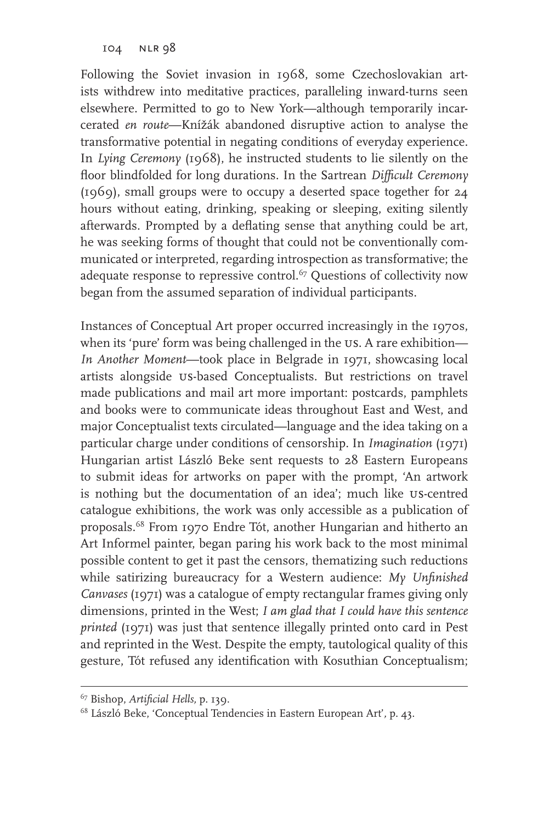Following the Soviet invasion in 1968, some Czechoslovakian artists withdrew into meditative practices, paralleling inward-turns seen elsewhere. Permitted to go to New York—although temporarily incarcerated *en route*—Knížák abandoned disruptive action to analyse the transformative potential in negating conditions of everyday experience. In *Lying Ceremony* (1968), he instructed students to lie silently on the floor blindfolded for long durations. In the Sartrean *Difficult Ceremony*  (1969), small groups were to occupy a deserted space together for 24 hours without eating, drinking, speaking or sleeping, exiting silently afterwards. Prompted by a deflating sense that anything could be art, he was seeking forms of thought that could not be conventionally communicated or interpreted, regarding introspection as transformative; the adequate response to repressive control.<sup>67</sup> Questions of collectivity now began from the assumed separation of individual participants.

Instances of Conceptual Art proper occurred increasingly in the 1970s, when its 'pure' form was being challenged in the US. A rare exhibition— *In Another Moment*—took place in Belgrade in 1971, showcasing local artists alongside us-based Conceptualists. But restrictions on travel made publications and mail art more important: postcards, pamphlets and books were to communicate ideas throughout East and West, and major Conceptualist texts circulated—language and the idea taking on a particular charge under conditions of censorship. In *Imagination* (1971) Hungarian artist László Beke sent requests to 28 Eastern Europeans to submit ideas for artworks on paper with the prompt, 'An artwork is nothing but the documentation of an idea'; much like us-centred catalogue exhibitions, the work was only accessible as a publication of proposals.68 From 1970 Endre Tót, another Hungarian and hitherto an Art Informel painter, began paring his work back to the most minimal possible content to get it past the censors, thematizing such reductions while satirizing bureaucracy for a Western audience: *My Unfinished Canvases* (1971) was a catalogue of empty rectangular frames giving only dimensions, printed in the West; *I am glad that I could have this sentence printed* (1971) was just that sentence illegally printed onto card in Pest and reprinted in the West. Despite the empty, tautological quality of this gesture, Tót refused any identification with Kosuthian Conceptualism;

<sup>67</sup> Bishop, *Artificial Hells,* p. 139.

<sup>68</sup> László Beke, 'Conceptual Tendencies in Eastern European Art'*,* p. 43.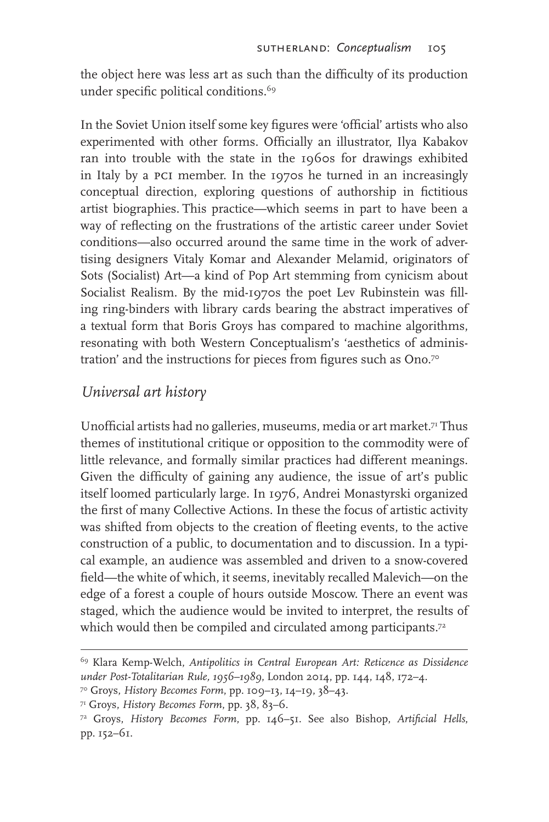the object here was less art as such than the difficulty of its production under specific political conditions.<sup>69</sup>

In the Soviet Union itself some key figures were 'official' artists who also experimented with other forms. Officially an illustrator, Ilya Kabakov ran into trouble with the state in the 1960s for drawings exhibited in Italy by a pci member. In the 1970s he turned in an increasingly conceptual direction, exploring questions of authorship in fictitious artist biographies. This practice—which seems in part to have been a way of reflecting on the frustrations of the artistic career under Soviet conditions—also occurred around the same time in the work of advertising designers Vitaly Komar and Alexander Melamid, originators of Sots (Socialist) Art—a kind of Pop Art stemming from cynicism about Socialist Realism. By the mid-1970s the poet Lev Rubinstein was filling ring-binders with library cards bearing the abstract imperatives of a textual form that Boris Groys has compared to machine algorithms, resonating with both Western Conceptualism's 'aesthetics of administration' and the instructions for pieces from figures such as Ono.<sup>70</sup>

#### *Universal art history*

Unofficial artists had no galleries, museums, media or art market.<sup>71</sup> Thus themes of institutional critique or opposition to the commodity were of little relevance, and formally similar practices had different meanings. Given the difficulty of gaining any audience, the issue of art's public itself loomed particularly large. In 1976, Andrei Monastyrski organized the first of many Collective Actions. In these the focus of artistic activity was shifted from objects to the creation of fleeting events, to the active construction of a public, to documentation and to discussion. In a typical example, an audience was assembled and driven to a snow-covered field—the white of which, it seems, inevitably recalled Malevich—on the edge of a forest a couple of hours outside Moscow. There an event was staged, which the audience would be invited to interpret, the results of which would then be compiled and circulated among participants.<sup>72</sup>

<sup>69</sup> Klara Kemp-Welch, *Antipolitics in Central European Art: Reticence as Dissidence under Post-Totalitarian Rule, 1956–1989*, London 2014, pp. 144, 148, 172–4.

<sup>70</sup> Groys, *History Becomes Form*, pp. 109–13, 14–19, 38–43.

<sup>71</sup> Groys, *History Becomes Form*, pp. 38, 83–6.

<sup>72</sup> Groys, *History Becomes Form*, pp. 146–51. See also Bishop, *Artificial Hells*, pp. 152–61.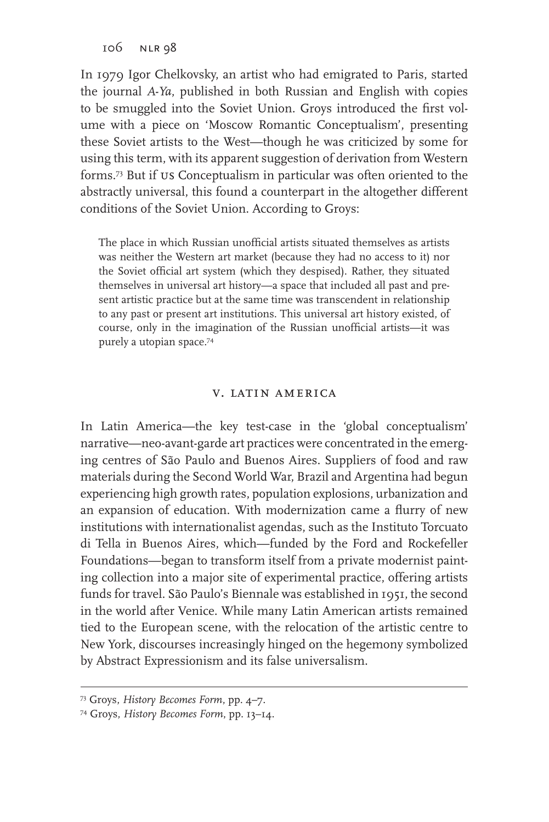In 1979 Igor Chelkovsky, an artist who had emigrated to Paris, started the journal *A-Ya*, published in both Russian and English with copies to be smuggled into the Soviet Union. Groys introduced the first volume with a piece on 'Moscow Romantic Conceptualism', presenting these Soviet artists to the West—though he was criticized by some for using this term, with its apparent suggestion of derivation from Western forms.73 But if us Conceptualism in particular was often oriented to the abstractly universal, this found a counterpart in the altogether different conditions of the Soviet Union. According to Groys:

The place in which Russian unofficial artists situated themselves as artists was neither the Western art market (because they had no access to it) nor the Soviet official art system (which they despised). Rather, they situated themselves in universal art history—a space that included all past and present artistic practice but at the same time was transcendent in relationship to any past or present art institutions. This universal art history existed, of course, only in the imagination of the Russian unofficial artists—it was purely a utopian space.74

#### v. latin america

In Latin America—the key test-case in the 'global conceptualism' narrative—neo-avant-garde art practices were concentrated in the emerging centres of São Paulo and Buenos Aires. Suppliers of food and raw materials during the Second World War, Brazil and Argentina had begun experiencing high growth rates, population explosions, urbanization and an expansion of education. With modernization came a flurry of new institutions with internationalist agendas, such as the Instituto Torcuato di Tella in Buenos Aires, which—funded by the Ford and Rockefeller Foundations—began to transform itself from a private modernist painting collection into a major site of experimental practice, offering artists funds for travel. São Paulo's Biennale was established in 1951, the second in the world after Venice. While many Latin American artists remained tied to the European scene, with the relocation of the artistic centre to New York, discourses increasingly hinged on the hegemony symbolized by Abstract Expressionism and its false universalism.

<sup>73</sup> Groys, *History Becomes Form*, pp. 4–7.

<sup>74</sup> Groys, *History Becomes Form*, pp. 13–14.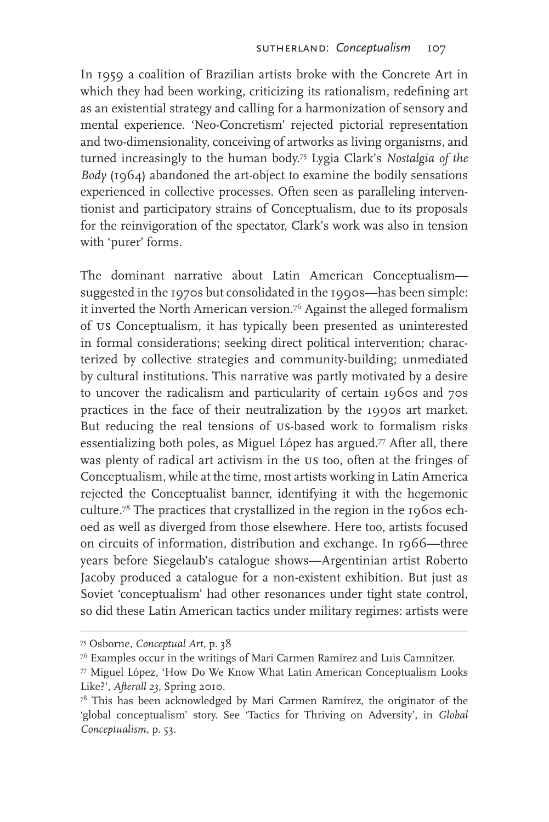In 1959 a coalition of Brazilian artists broke with the Concrete Art in which they had been working, criticizing its rationalism, redefining art as an existential strategy and calling for a harmonization of sensory and mental experience. 'Neo-Concretism' rejected pictorial representation and two-dimensionality, conceiving of artworks as living organisms, and turned increasingly to the human body.75 Lygia Clark's *Nostalgia of the Body* (1964) abandoned the art-object to examine the bodily sensations experienced in collective processes. Often seen as paralleling interventionist and participatory strains of Conceptualism, due to its proposals for the reinvigoration of the spectator, Clark's work was also in tension with 'purer' forms.

The dominant narrative about Latin American Conceptualism suggested in the 1970s but consolidated in the 1990s—has been simple: it inverted the North American version.76 Against the alleged formalism of us Conceptualism, it has typically been presented as uninterested in formal considerations; seeking direct political intervention; characterized by collective strategies and community-building; unmediated by cultural institutions. This narrative was partly motivated by a desire to uncover the radicalism and particularity of certain 1960s and 70s practices in the face of their neutralization by the 1990s art market. But reducing the real tensions of us-based work to formalism risks essentializing both poles, as Miguel López has argued.<sup>77</sup> After all, there was plenty of radical art activism in the us too, often at the fringes of Conceptualism, while at the time, most artists working in Latin America rejected the Conceptualist banner, identifying it with the hegemonic culture.78 The practices that crystallized in the region in the 1960s echoed as well as diverged from those elsewhere. Here too, artists focused on circuits of information, distribution and exchange. In 1966—three years before Siegelaub's catalogue shows—Argentinian artist Roberto Jacoby produced a catalogue for a non-existent exhibition. But just as Soviet 'conceptualism' had other resonances under tight state control, so did these Latin American tactics under military regimes: artists were

<sup>75</sup> Osborne, *Conceptual Art,* p. 38

<sup>76</sup> Examples occur in the writings of Mari Carmen Ramírez and Luis Camnitzer.

<sup>77</sup> Miguel López, 'How Do We Know What Latin American Conceptualism Looks Like?', *Afterall 23*, Spring 2010.

 $78$  This has been acknowledged by Mari Carmen Ramírez, the originator of the 'global conceptualism' story. See 'Tactics for Thriving on Adversity', in *Global Conceptualism*, p. 53.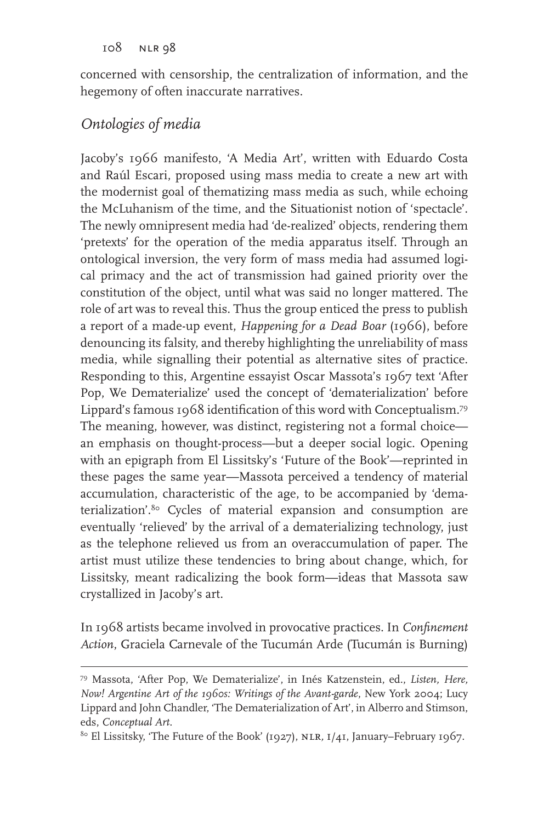concerned with censorship, the centralization of information, and the hegemony of often inaccurate narratives.

### *Ontologies of media*

Jacoby's 1966 manifesto, 'A Media Art', written with Eduardo Costa and Raúl Escari, proposed using mass media to create a new art with the modernist goal of thematizing mass media as such, while echoing the McLuhanism of the time, and the Situationist notion of 'spectacle'. The newly omnipresent media had 'de-realized' objects, rendering them 'pretexts' for the operation of the media apparatus itself. Through an ontological inversion, the very form of mass media had assumed logical primacy and the act of transmission had gained priority over the constitution of the object, until what was said no longer mattered. The role of art was to reveal this. Thus the group enticed the press to publish a report of a made-up event, *Happening for a Dead Boar* (1966), before denouncing its falsity, and thereby highlighting the unreliability of mass media, while signalling their potential as alternative sites of practice. Responding to this, Argentine essayist Oscar Massota's 1967 text 'After Pop, We Dematerialize' used the concept of 'dematerialization' before Lippard's famous 1968 identification of this word with Conceptualism.79 The meaning, however, was distinct, registering not a formal choice an emphasis on thought-process—but a deeper social logic. Opening with an epigraph from El Lissitsky's 'Future of the Book'—reprinted in these pages the same year—Massota perceived a tendency of material accumulation, characteristic of the age, to be accompanied by 'dematerialization'.<sup>80</sup> Cycles of material expansion and consumption are eventually 'relieved' by the arrival of a dematerializing technology, just as the telephone relieved us from an overaccumulation of paper. The artist must utilize these tendencies to bring about change, which, for Lissitsky, meant radicalizing the book form—ideas that Massota saw crystallized in Jacoby's art.

In 1968 artists became involved in provocative practices. In *Confinement Action*, Graciela Carnevale of the Tucumán Arde (Tucumán is Burning)

<sup>79</sup> Massota, 'After Pop, We Dematerialize', in Inés Katzenstein, ed., *Listen, Here, Now! Argentine Art of the 1960s: Writings of the Avant-garde*, New York 2004; Lucy Lippard and John Chandler, 'The Dematerialization of Art', in Alberro and Stimson, eds, *Conceptual Art*.

<sup>80</sup> El Lissitsky, 'The Future of the Book' (1927), nlr*,* i/41, January–February 1967.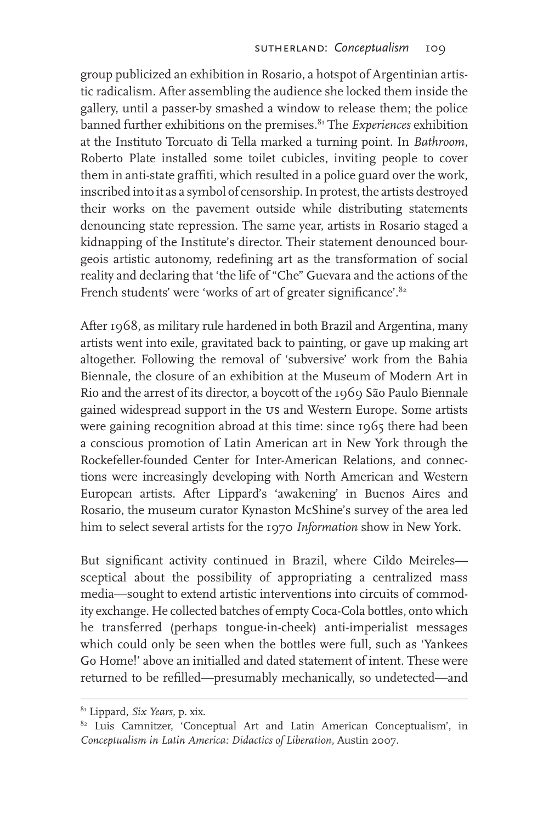group publicized an exhibition in Rosario, a hotspot of Argentinian artistic radicalism. After assembling the audience she locked them inside the gallery, until a passer-by smashed a window to release them; the police banned further exhibitions on the premises.81 The *Experiences* exhibition at the Instituto Torcuato di Tella marked a turning point. In *Bathroom*, Roberto Plate installed some toilet cubicles, inviting people to cover them in anti-state graffiti, which resulted in a police guard over the work, inscribed into it as a symbol of censorship. In protest, the artists destroyed their works on the pavement outside while distributing statements denouncing state repression. The same year, artists in Rosario staged a kidnapping of the Institute's director. Their statement denounced bourgeois artistic autonomy, redefining art as the transformation of social reality and declaring that 'the life of "Che" Guevara and the actions of the French students' were 'works of art of greater significance'.<sup>82</sup>

After 1968, as military rule hardened in both Brazil and Argentina, many artists went into exile, gravitated back to painting, or gave up making art altogether. Following the removal of 'subversive' work from the Bahia Biennale, the closure of an exhibition at the Museum of Modern Art in Rio and the arrest of its director, a boycott of the 1969 São Paulo Biennale gained widespread support in the us and Western Europe. Some artists were gaining recognition abroad at this time: since 1965 there had been a conscious promotion of Latin American art in New York through the Rockefeller-founded Center for Inter-American Relations, and connections were increasingly developing with North American and Western European artists. After Lippard's 'awakening' in Buenos Aires and Rosario, the museum curator Kynaston McShine's survey of the area led him to select several artists for the 1970 *Information* show in New York.

But significant activity continued in Brazil, where Cildo Meireles sceptical about the possibility of appropriating a centralized mass media—sought to extend artistic interventions into circuits of commodity exchange. He collected batches of empty Coca-Cola bottles, onto which he transferred (perhaps tongue-in-cheek) anti-imperialist messages which could only be seen when the bottles were full, such as 'Yankees Go Home!' above an initialled and dated statement of intent. These were returned to be refilled—presumably mechanically, so undetected—and

<sup>81</sup> Lippard, *Six Years*, p. xix.

<sup>&</sup>lt;sup>82</sup> Luis Camnitzer, 'Conceptual Art and Latin American Conceptualism', in *Conceptualism in Latin America: Didactics of Liberation*, Austin 2007.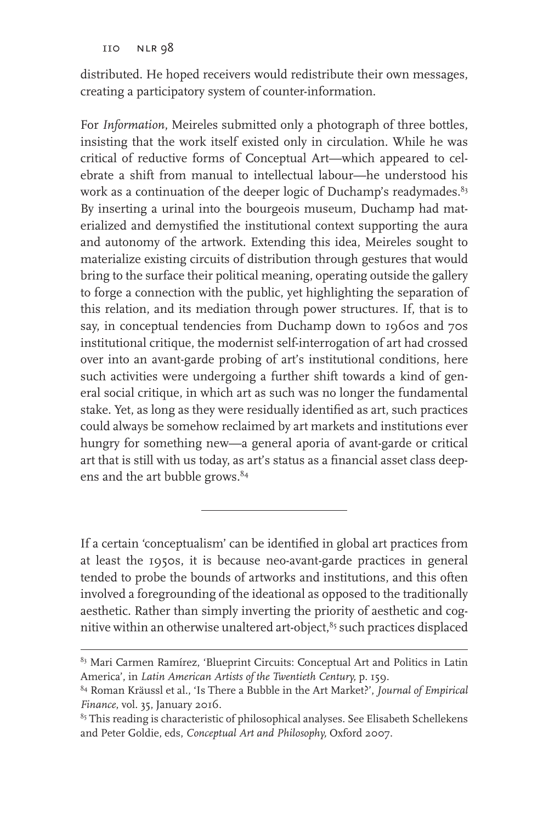distributed. He hoped receivers would redistribute their own messages, creating a participatory system of counter-information.

For *Information*, Meireles submitted only a photograph of three bottles, insisting that the work itself existed only in circulation. While he was critical of reductive forms of Conceptual Art—which appeared to celebrate a shift from manual to intellectual labour—he understood his work as a continuation of the deeper logic of Duchamp's readymades.<sup>83</sup> By inserting a urinal into the bourgeois museum, Duchamp had materialized and demystified the institutional context supporting the aura and autonomy of the artwork. Extending this idea, Meireles sought to materialize existing circuits of distribution through gestures that would bring to the surface their political meaning, operating outside the gallery to forge a connection with the public, yet highlighting the separation of this relation, and its mediation through power structures. If, that is to say, in conceptual tendencies from Duchamp down to 1960s and 70s institutional critique, the modernist self-interrogation of art had crossed over into an avant-garde probing of art's institutional conditions, here such activities were undergoing a further shift towards a kind of general social critique, in which art as such was no longer the fundamental stake. Yet, as long as they were residually identified as art, such practices could always be somehow reclaimed by art markets and institutions ever hungry for something new—a general aporia of avant-garde or critical art that is still with us today, as art's status as a financial asset class deepens and the art bubble grows.<sup>84</sup>

If a certain 'conceptualism' can be identified in global art practices from at least the 1950s, it is because neo-avant-garde practices in general tended to probe the bounds of artworks and institutions, and this often involved a foregrounding of the ideational as opposed to the traditionally aesthetic. Rather than simply inverting the priority of aesthetic and cognitive within an otherwise unaltered art-object,<sup>85</sup> such practices displaced

<sup>&</sup>lt;sup>83</sup> Mari Carmen Ramírez, 'Blueprint Circuits: Conceptual Art and Politics in Latin America', in *Latin American Artists of the Twentieth Century,* p. 159.

<sup>84</sup> Roman Kräussl et al., 'Is There a Bubble in the Art Market?', *Journal of Empirical Finance*, vol. 35, January 2016.

<sup>&</sup>lt;sup>85</sup> This reading is characteristic of philosophical analyses. See Elisabeth Schellekens and Peter Goldie, eds, *Conceptual Art and Philosophy,* Oxford 2007.